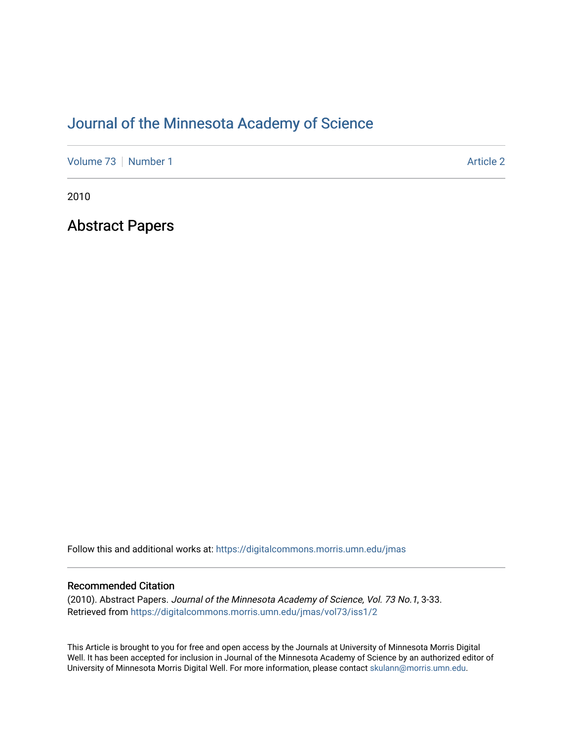# [Journal of the Minnesota Academy of Science](https://digitalcommons.morris.umn.edu/jmas)

[Volume 73](https://digitalcommons.morris.umn.edu/jmas/vol73) [Number 1](https://digitalcommons.morris.umn.edu/jmas/vol73/iss1) Article 2

2010

Abstract Papers

Follow this and additional works at: [https://digitalcommons.morris.umn.edu/jmas](https://digitalcommons.morris.umn.edu/jmas?utm_source=digitalcommons.morris.umn.edu%2Fjmas%2Fvol73%2Fiss1%2F2&utm_medium=PDF&utm_campaign=PDFCoverPages) 

# Recommended Citation

(2010). Abstract Papers. Journal of the Minnesota Academy of Science, Vol. 73 No.1, 3-33. Retrieved from [https://digitalcommons.morris.umn.edu/jmas/vol73/iss1/2](https://digitalcommons.morris.umn.edu/jmas/vol73/iss1/2?utm_source=digitalcommons.morris.umn.edu%2Fjmas%2Fvol73%2Fiss1%2F2&utm_medium=PDF&utm_campaign=PDFCoverPages)

This Article is brought to you for free and open access by the Journals at University of Minnesota Morris Digital Well. It has been accepted for inclusion in Journal of the Minnesota Academy of Science by an authorized editor of University of Minnesota Morris Digital Well. For more information, please contact [skulann@morris.umn.edu](mailto:skulann@morris.umn.edu).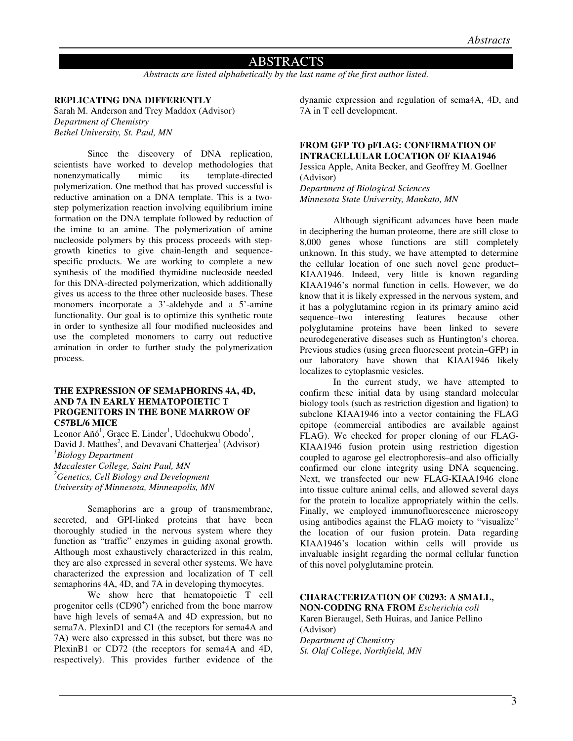# ABSTRACTS

*Abstracts are listed alphabetically by the last name of the first author listed.* 

# **REPLICATING DNA DIFFERENTLY**

Sarah M. Anderson and Trey Maddox (Advisor) *Department of Chemistry Bethel University, St. Paul, MN* 

Since the discovery of DNA replication, scientists have worked to develop methodologies that nonenzymatically mimic its template-directed polymerization. One method that has proved successful is reductive amination on a DNA template. This is a twostep polymerization reaction involving equilibrium imine formation on the DNA template followed by reduction of the imine to an amine. The polymerization of amine nucleoside polymers by this process proceeds with stepgrowth kinetics to give chain-length and sequencespecific products. We are working to complete a new synthesis of the modified thymidine nucleoside needed for this DNA-directed polymerization, which additionally gives us access to the three other nucleoside bases. These monomers incorporate a 3'-aldehyde and a 5'-amine functionality. Our goal is to optimize this synthetic route in order to synthesize all four modified nucleosides and use the completed monomers to carry out reductive amination in order to further study the polymerization process.

#### **THE EXPRESSION OF SEMAPHORINS 4A, 4D, AND 7A IN EARLY HEMATOPOIETIC T PROGENITORS IN THE BONE MARROW OF C57BL/6 MICE**

Leonor Añó<sup>1</sup>, Grace E. Linder<sup>1</sup>, Udochukwu Obodo<sup>1</sup>, David J. Matthes<sup>2</sup>, and Devavani Chatterjea<sup>1</sup> (Advisor) *<sup>1</sup>Biology Department Macalester College, Saint Paul, MN <sup>2</sup>Genetics, Cell Biology and Development University of Minnesota, Minneapolis, MN* 

Semaphorins are a group of transmembrane, secreted, and GPI-linked proteins that have been thoroughly studied in the nervous system where they function as "traffic" enzymes in guiding axonal growth. Although most exhaustively characterized in this realm, they are also expressed in several other systems. We have characterized the expression and localization of T cell semaphorins 4A, 4D, and 7A in developing thymocytes.

We show here that hematopoietic T cell progenitor cells (CD90<sup>+</sup>) enriched from the bone marrow have high levels of sema4A and 4D expression, but no sema7A. PlexinD1 and C1 (the receptors for sema4A and 7A) were also expressed in this subset, but there was no PlexinB1 or CD72 (the receptors for sema4A and 4D, respectively). This provides further evidence of the

dynamic expression and regulation of sema4A, 4D, and 7A in T cell development.

#### **FROM GFP TO pFLAG: CONFIRMATION OF INTRACELLULAR LOCATION OF KIAA1946**

Jessica Apple, Anita Becker, and Geoffrey M. Goellner (Advisor)

*Department of Biological Sciences Minnesota State University, Mankato, MN* 

Although significant advances have been made in deciphering the human proteome, there are still close to 8,000 genes whose functions are still completely unknown. In this study, we have attempted to determine the cellular location of one such novel gene product– KIAA1946. Indeed, very little is known regarding KIAA1946's normal function in cells. However, we do know that it is likely expressed in the nervous system, and it has a polyglutamine region in its primary amino acid sequence–two interesting features because other polyglutamine proteins have been linked to severe neurodegenerative diseases such as Huntington's chorea. Previous studies (using green fluorescent protein–GFP) in our laboratory have shown that KIAA1946 likely localizes to cytoplasmic vesicles.

In the current study, we have attempted to confirm these initial data by using standard molecular biology tools (such as restriction digestion and ligation) to subclone KIAA1946 into a vector containing the FLAG epitope (commercial antibodies are available against FLAG). We checked for proper cloning of our FLAG-KIAA1946 fusion protein using restriction digestion coupled to agarose gel electrophoresis–and also officially confirmed our clone integrity using DNA sequencing. Next, we transfected our new FLAG-KIAA1946 clone into tissue culture animal cells, and allowed several days for the protein to localize appropriately within the cells. Finally, we employed immunofluorescence microscopy using antibodies against the FLAG moiety to "visualize" the location of our fusion protein. Data regarding KIAA1946's location within cells will provide us invaluable insight regarding the normal cellular function of this novel polyglutamine protein.

#### **CHARACTERIZATION OF C0293: A SMALL,**

**NON-CODING RNA FROM** *Escherichia coli*  Karen Bieraugel, Seth Huiras, and Janice Pellino (Advisor) *Department of Chemistry* 

*St. Olaf College, Northfield, MN*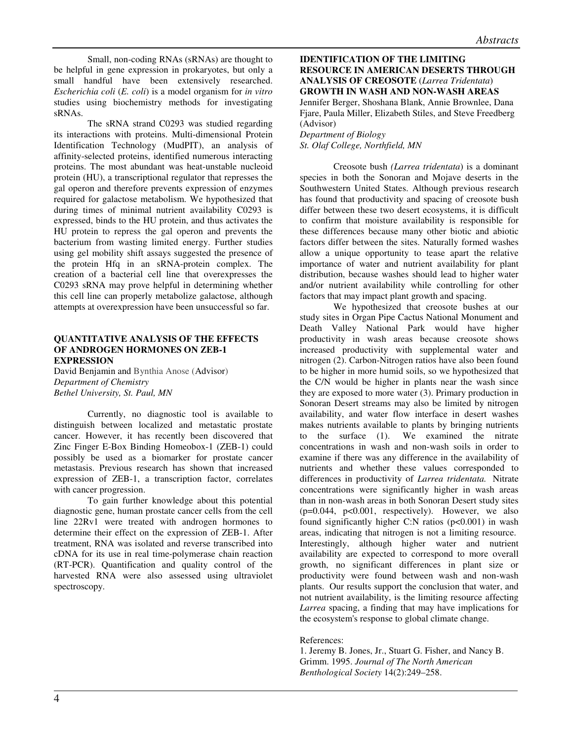Small, non-coding RNAs (sRNAs) are thought to be helpful in gene expression in prokaryotes, but only a small handful have been extensively researched. *Escherichia coli* (*E. coli*) is a model organism for *in vitro* studies using biochemistry methods for investigating sRNAs.

The sRNA strand C0293 was studied regarding its interactions with proteins. Multi-dimensional Protein Identification Technology (MudPIT), an analysis of affinity-selected proteins, identified numerous interacting proteins. The most abundant was heat-unstable nucleoid protein (HU), a transcriptional regulator that represses the gal operon and therefore prevents expression of enzymes required for galactose metabolism. We hypothesized that during times of minimal nutrient availability C0293 is expressed, binds to the HU protein, and thus activates the HU protein to repress the gal operon and prevents the bacterium from wasting limited energy. Further studies using gel mobility shift assays suggested the presence of the protein Hfq in an sRNA-protein complex. The creation of a bacterial cell line that overexpresses the C0293 sRNA may prove helpful in determining whether this cell line can properly metabolize galactose, although attempts at overexpression have been unsuccessful so far.

#### **QUANTITATIVE ANALYSIS OF THE EFFECTS OF ANDROGEN HORMONES ON ZEB-1 EXPRESSION**

David Benjamin and Bynthia Anose (Advisor) *Department of Chemistry Bethel University, St. Paul, MN* 

Currently, no diagnostic tool is available to distinguish between localized and metastatic prostate cancer. However, it has recently been discovered that Zinc Finger E-Box Binding Homeobox-1 (ZEB-1) could possibly be used as a biomarker for prostate cancer metastasis. Previous research has shown that increased expression of ZEB-1, a transcription factor, correlates with cancer progression.

To gain further knowledge about this potential diagnostic gene, human prostate cancer cells from the cell line 22Rv1 were treated with androgen hormones to determine their effect on the expression of ZEB-1. After treatment, RNA was isolated and reverse transcribed into cDNA for its use in real time-polymerase chain reaction (RT-PCR). Quantification and quality control of the harvested RNA were also assessed using ultraviolet spectroscopy.

# **IDENTIFICATION OF THE LIMITING RESOURCE IN AMERICAN DESERTS THROUGH ANALYSIS OF CREOSOTE** (*Larrea Tridentata*) **GROWTH IN WASH AND NON-WASH AREAS**  Jennifer Berger, Shoshana Blank, Annie Brownlee, Dana Fjare, Paula Miller, Elizabeth Stiles, and Steve Freedberg (Advisor)

*Department of Biology St. Olaf College, Northfield, MN* 

 Creosote bush *(Larrea tridentata*) is a dominant species in both the Sonoran and Mojave deserts in the Southwestern United States. Although previous research has found that productivity and spacing of creosote bush differ between these two desert ecosystems, it is difficult to confirm that moisture availability is responsible for these differences because many other biotic and abiotic factors differ between the sites. Naturally formed washes allow a unique opportunity to tease apart the relative importance of water and nutrient availability for plant distribution, because washes should lead to higher water and/or nutrient availability while controlling for other factors that may impact plant growth and spacing.

We hypothesized that creosote bushes at our study sites in Organ Pipe Cactus National Monument and Death Valley National Park would have higher productivity in wash areas because creosote shows increased productivity with supplemental water and nitrogen (2). Carbon-Nitrogen ratios have also been found to be higher in more humid soils, so we hypothesized that the C/N would be higher in plants near the wash since they are exposed to more water (3). Primary production in Sonoran Desert streams may also be limited by nitrogen availability, and water flow interface in desert washes makes nutrients available to plants by bringing nutrients to the surface (1). We examined the nitrate concentrations in wash and non-wash soils in order to examine if there was any difference in the availability of nutrients and whether these values corresponded to differences in productivity of *Larrea tridentata.* Nitrate concentrations were significantly higher in wash areas than in non-wash areas in both Sonoran Desert study sites  $(p=0.044, p<0.001$ , respectively). However, we also found significantly higher C:N ratios  $(p<0.001)$  in wash areas, indicating that nitrogen is not a limiting resource. Interestingly, although higher water and nutrient availability are expected to correspond to more overall growth, no significant differences in plant size or productivity were found between wash and non-wash plants. Our results support the conclusion that water, and not nutrient availability, is the limiting resource affecting *Larrea* spacing, a finding that may have implications for the ecosystem's response to global climate change.

References:

1. Jeremy B. Jones, Jr., Stuart G. Fisher, and Nancy B. Grimm. 1995. *Journal of The North American Benthological Society* 14(2):249–258.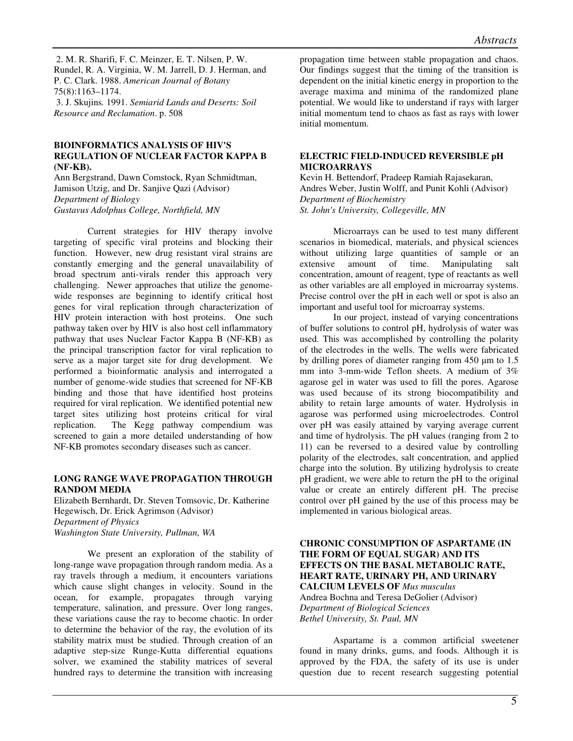2. M. R. Sharifi, F. C. Meinzer, E. T. Nilsen, P. W. Rundel, R. A. Virginia, W. M. Jarrell, D. J. Herman, and P. C. Clark. 1988. *American Journal of Botany* 75(8):1163–1174. 3. J. Skujins*.* 1991. *Semiarid Lands and Deserts: Soil Resource and Reclamation*. p. 508

#### **BIOINFORMATICS ANALYSIS OF HIV'S REGULATION OF NUCLEAR FACTOR KAPPA B (NF-KB).**

Ann Bergstrand, Dawn Comstock, Ryan Schmidtman, Jamison Utzig, and Dr. Sanjive Qazi (Advisor) *Department of Biology Gustavus Adolphus College, Northfield, MN*

 Current strategies for HIV therapy involve targeting of specific viral proteins and blocking their function. However, new drug resistant viral strains are constantly emerging and the general unavailability of broad spectrum anti-virals render this approach very challenging. Newer approaches that utilize the genomewide responses are beginning to identify critical host genes for viral replication through characterization of HIV protein interaction with host proteins. One such pathway taken over by HIV is also host cell inflammatory pathway that uses Nuclear Factor Kappa B (NF-KB) as the principal transcription factor for viral replication to serve as a major target site for drug development. We performed a bioinformatic analysis and interrogated a number of genome-wide studies that screened for NF-KB binding and those that have identified host proteins required for viral replication. We identified potential new target sites utilizing host proteins critical for viral replication. The Kegg pathway compendium was screened to gain a more detailed understanding of how NF-KB promotes secondary diseases such as cancer.

# **LONG RANGE WAVE PROPAGATION THROUGH RANDOM MEDIA**

Elizabeth Bernhardt, Dr. Steven Tomsovic, Dr. Katherine Hegewisch, Dr. Erick Agrimson (Advisor) *Department of Physics Washington State University, Pullman, WA* 

 We present an exploration of the stability of long-range wave propagation through random media. As a ray travels through a medium, it encounters variations which cause slight changes in velocity. Sound in the ocean, for example, propagates through varying temperature, salination, and pressure. Over long ranges, these variations cause the ray to become chaotic. In order to determine the behavior of the ray, the evolution of its stability matrix must be studied. Through creation of an adaptive step-size Runge-Kutta differential equations solver, we examined the stability matrices of several hundred rays to determine the transition with increasing

propagation time between stable propagation and chaos. Our findings suggest that the timing of the transition is dependent on the initial kinetic energy in proportion to the average maxima and minima of the randomized plane potential. We would like to understand if rays with larger initial momentum tend to chaos as fast as rays with lower initial momentum.

# **ELECTRIC FIELD-INDUCED REVERSIBLE pH MICROARRAYS**

Kevin H. Bettendorf, Pradeep Ramiah Rajasekaran, Andres Weber, Justin Wolff, and Punit Kohli (Advisor) *Department of Biochemistry St. John's University, Collegeville, MN*

 Microarrays can be used to test many different scenarios in biomedical, materials, and physical sciences without utilizing large quantities of sample or an extensive amount of time. Manipulating salt concentration, amount of reagent, type of reactants as well as other variables are all employed in microarray systems. Precise control over the pH in each well or spot is also an important and useful tool for microarray systems.

In our project, instead of varying concentrations of buffer solutions to control pH, hydrolysis of water was used. This was accomplished by controlling the polarity of the electrodes in the wells. The wells were fabricated by drilling pores of diameter ranging from 450 µm to 1.5 mm into 3-mm-wide Teflon sheets. A medium of 3% agarose gel in water was used to fill the pores. Agarose was used because of its strong biocompatibility and ability to retain large amounts of water. Hydrolysis in agarose was performed using microelectrodes. Control over pH was easily attained by varying average current and time of hydrolysis. The pH values (ranging from 2 to 11) can be reversed to a desired value by controlling polarity of the electrodes, salt concentration, and applied charge into the solution. By utilizing hydrolysis to create pH gradient, we were able to return the pH to the original value or create an entirely different pH. The precise control over pH gained by the use of this process may be implemented in various biological areas.

**CHRONIC CONSUMPTION OF ASPARTAME (IN THE FORM OF EQUAL SUGAR) AND ITS EFFECTS ON THE BASAL METABOLIC RATE, HEART RATE, URINARY PH, AND URINARY CALCIUM LEVELS OF** *Mus musculus* Andrea Bochna and Teresa DeGolier (Advisor) *Department of Biological Sciences Bethel University, St. Paul, MN* 

Aspartame is a common artificial sweetener found in many drinks, gums, and foods. Although it is approved by the FDA, the safety of its use is under question due to recent research suggesting potential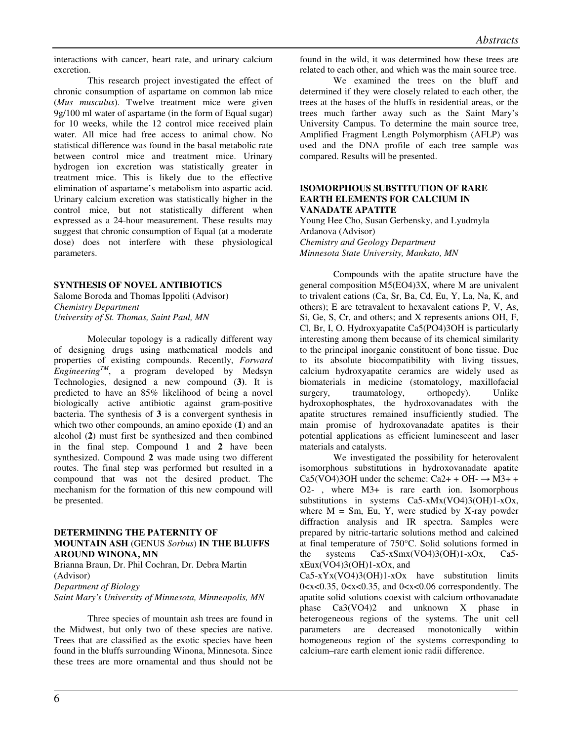interactions with cancer, heart rate, and urinary calcium excretion.

 This research project investigated the effect of chronic consumption of aspartame on common lab mice (*Mus musculus*). Twelve treatment mice were given 9g/100 ml water of aspartame (in the form of Equal sugar) for 10 weeks, while the 12 control mice received plain water. All mice had free access to animal chow. No statistical difference was found in the basal metabolic rate between control mice and treatment mice. Urinary hydrogen ion excretion was statistically greater in treatment mice. This is likely due to the effective elimination of aspartame's metabolism into aspartic acid. Urinary calcium excretion was statistically higher in the control mice, but not statistically different when expressed as a 24-hour measurement. These results may suggest that chronic consumption of Equal (at a moderate dose) does not interfere with these physiological parameters.

# **SYNTHESIS OF NOVEL ANTIBIOTICS**

Salome Boroda and Thomas Ippoliti (Advisor) *Chemistry Department University of St. Thomas, Saint Paul, MN* 

Molecular topology is a radically different way of designing drugs using mathematical models and properties of existing compounds. Recently, *Forward EngineeringTM*, a program developed by Medsyn Technologies, designed a new compound (**3)**. It is predicted to have an 85% likelihood of being a novel biologically active antibiotic against gram-positive bacteria. The synthesis of **3** is a convergent synthesis in which two other compounds, an amino epoxide (**1**) and an alcohol (**2**) must first be synthesized and then combined in the final step. Compound **1** and **2** have been synthesized. Compound **2** was made using two different routes. The final step was performed but resulted in a compound that was not the desired product. The mechanism for the formation of this new compound will be presented.

#### **DETERMINING THE PATERNITY OF MOUNTAIN ASH** (GENUS *Sorbus*) **IN THE BLUFFS AROUND WINONA, MN**

Brianna Braun, Dr. Phil Cochran, Dr. Debra Martin (Advisor) *Department of Biology Saint Mary's University of Minnesota, Minneapolis, MN* 

Three species of mountain ash trees are found in the Midwest, but only two of these species are native. Trees that are classified as the exotic species have been found in the bluffs surrounding Winona, Minnesota. Since these trees are more ornamental and thus should not be

found in the wild, it was determined how these trees are related to each other, and which was the main source tree.

We examined the trees on the bluff and determined if they were closely related to each other, the trees at the bases of the bluffs in residential areas, or the trees much farther away such as the Saint Mary's University Campus. To determine the main source tree, Amplified Fragment Length Polymorphism (AFLP) was used and the DNA profile of each tree sample was compared. Results will be presented.

#### **ISOMORPHOUS SUBSTITUTION OF RARE EARTH ELEMENTS FOR CALCIUM IN VANADATE APATITE**

Young Hee Cho, Susan Gerbensky, and Lyudmyla Ardanova (Advisor) *Chemistry and Geology Department Minnesota State University, Mankato, MN* 

Compounds with the apatite structure have the general composition M5(EO4)3X, where M are univalent to trivalent cations (Ca, Sr, Ba, Cd, Eu, Y, La, Na, K, and others); E are tetravalent to hexavalent cations P, V, As, Si, Ge, S, Cr, and others; and X represents anions OH, F, Cl, Br, I, O. Hydroxyapatite Ca5(PO4)3OH is particularly interesting among them because of its chemical similarity to the principal inorganic constituent of bone tissue. Due to its absolute biocompatibility with living tissues, calcium hydroxyapatite ceramics are widely used as biomaterials in medicine (stomatology, maxillofacial surgery, traumatology, orthopedy). Unlike hydroxophosphates, the hydroxovanadates with the apatite structures remained insufficiently studied. The main promise of hydroxovanadate apatites is their potential applications as efficient luminescent and laser materials and catalysts.

We investigated the possibility for heterovalent isomorphous substitutions in hydroxovanadate apatite Ca5(VO4)3OH under the scheme: Ca2+ + OH-  $\rightarrow$  M3+ + O2- , where M3+ is rare earth ion. Isomorphous substitutions in systems Ca5-xMx(VO4)3(OH)1-xOx, where  $M = Sm$ . Eu, Y, were studied by X-ray powder diffraction analysis and IR spectra. Samples were prepared by nitric-tartaric solutions method and calcined at final temperature of 750°C. Solid solutions formed in the systems Ca5-xSmx(VO4)3(OH)1-xOx, Ca5  $xEux(VO4)3(OH)1-xOx$ , and

 $Ca5-xYx(VO4)3(OH)1-xOx$  have substitution limits  $0 < x < 0.35$ ,  $0 < x < 0.35$ , and  $0 < x < 0.06$  correspondently. The apatite solid solutions coexist with calcium orthovanadate phase Ca3(VO4)2 and unknown X phase in heterogeneous regions of the systems. The unit cell parameters are decreased monotonically within homogeneous region of the systems corresponding to calcium–rare earth element ionic radii difference.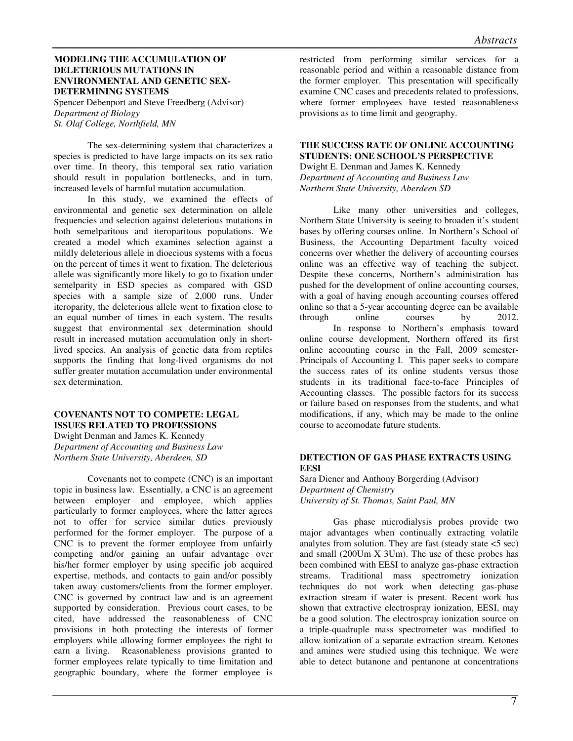#### **MODELING THE ACCUMULATION OF DELETERIOUS MUTATIONS IN ENVIRONMENTAL AND GENETIC SEX-DETERMINING SYSTEMS**

Spencer Debenport and Steve Freedberg (Advisor) *Department of Biology St. Olaf College, Northfield, MN* 

The sex-determining system that characterizes a species is predicted to have large impacts on its sex ratio over time. In theory, this temporal sex ratio variation should result in population bottlenecks, and in turn, increased levels of harmful mutation accumulation.

In this study, we examined the effects of environmental and genetic sex determination on allele frequencies and selection against deleterious mutations in both semelparitous and iteroparitous populations. We created a model which examines selection against a mildly deleterious allele in dioecious systems with a focus on the percent of times it went to fixation. The deleterious allele was significantly more likely to go to fixation under semelparity in ESD species as compared with GSD species with a sample size of 2,000 runs. Under iteroparity, the deleterious allele went to fixation close to an equal number of times in each system. The results suggest that environmental sex determination should result in increased mutation accumulation only in shortlived species. An analysis of genetic data from reptiles supports the finding that long-lived organisms do not suffer greater mutation accumulation under environmental sex determination.

#### **COVENANTS NOT TO COMPETE: LEGAL ISSUES RELATED TO PROFESSIONS**

Dwight Denman and James K. Kennedy *Department of Accounting and Business Law Northern State University, Aberdeen, SD* 

 Covenants not to compete (CNC) is an important topic in business law. Essentially, a CNC is an agreement between employer and employee, which applies particularly to former employees, where the latter agrees not to offer for service similar duties previously performed for the former employer. The purpose of a CNC is to prevent the former employee from unfairly competing and/or gaining an unfair advantage over his/her former employer by using specific job acquired expertise, methods, and contacts to gain and/or possibly taken away customers/clients from the former employer. CNC is governed by contract law and is an agreement supported by consideration. Previous court cases, to be cited, have addressed the reasonableness of CNC provisions in both protecting the interests of former employers while allowing former employees the right to earn a living. Reasonableness provisions granted to former employees relate typically to time limitation and geographic boundary, where the former employee is

restricted from performing similar services for a reasonable period and within a reasonable distance from the former employer. This presentation will specifically examine CNC cases and precedents related to professions, where former employees have tested reasonableness provisions as to time limit and geography.

#### **THE SUCCESS RATE OF ONLINE ACCOUNTING STUDENTS: ONE SCHOOL'S PERSPECTIVE**

Dwight E. Denman and James K. Kennedy *Department of Accounting and Business Law Northern State University, Aberdeen SD* 

 Like many other universities and colleges, Northern State University is seeing to broaden it's student bases by offering courses online. In Northern's School of Business, the Accounting Department faculty voiced concerns over whether the delivery of accounting courses online was an effective way of teaching the subject. Despite these concerns, Northern's administration has pushed for the development of online accounting courses, with a goal of having enough accounting courses offered online so that a 5-year accounting degree can be available through online courses by 2012. In response to Northern's emphasis toward online course development, Northern offered its first online accounting course in the Fall, 2009 semester-Principals of Accounting I. This paper seeks to compare the success rates of its online students versus those students in its traditional face-to-face Principles of Accounting classes. The possible factors for its success or failure based on responses from the students, and what modifications, if any, which may be made to the online course to accomodate future students.

# **DETECTION OF GAS PHASE EXTRACTS USING EESI**

Sara Diener and Anthony Borgerding (Advisor) *Department of Chemistry University of St. Thomas, Saint Paul, MN* 

Gas phase microdialysis probes provide two major advantages when continually extracting volatile analytes from solution. They are fast (steady state <5 sec) and small (200Um X 3Um). The use of these probes has been combined with EESI to analyze gas-phase extraction streams. Traditional mass spectrometry ionization techniques do not work when detecting gas-phase extraction stream if water is present. Recent work has shown that extractive electrospray ionization, EESI, may be a good solution. The electrospray ionization source on a triple-quadruple mass spectrometer was modified to allow ionization of a separate extraction stream. Ketones and amines were studied using this technique. We were able to detect butanone and pentanone at concentrations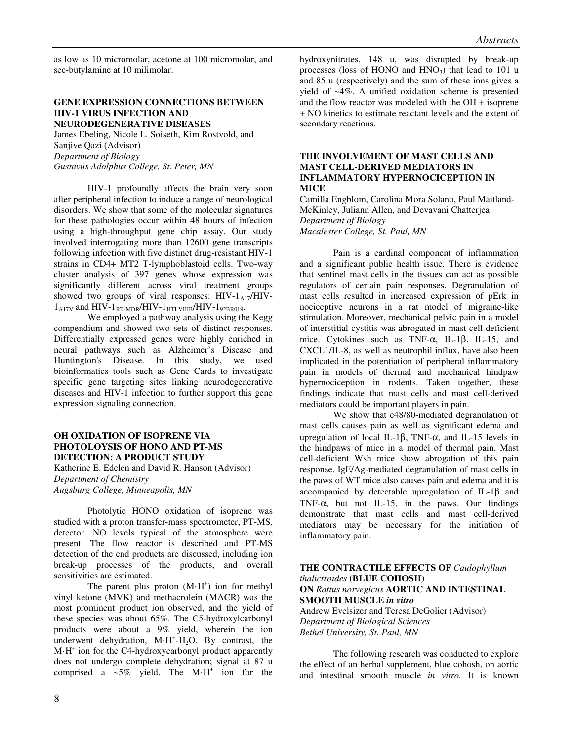as low as 10 micromolar, acetone at 100 micromolar, and sec-butylamine at 10 milimolar.

#### **GENE EXPRESSION CONNECTIONS BETWEEN HIV-1 VIRUS INFECTION AND NEURODEGENERATIVE DISEASES**

James Ebeling, Nicole L. Soiseth, Kim Rostvold, and Sanjive Qazi (Advisor) *Department of Biology Gustavus Adolphus College, St. Peter, MN* 

HIV-1 profoundly affects the brain very soon after peripheral infection to induce a range of neurological disorders. We show that some of the molecular signatures for these pathologies occur within 48 hours of infection using a high-throughput gene chip assay. Our study involved interrogating more than 12600 gene transcripts following infection with five distinct drug-resistant HIV-1 strains in CD4+ MT2 T-lymphoblastoid cells. Two-way cluster analysis of 397 genes whose expression was significantly different across viral treatment groups showed two groups of viral responses:  $HIV-1<sub>A17</sub>/HIV 1_{\text{A17V}}$  and HIV- $1_{\text{RT-MDR}}$ /HIV- $1_{\text{HTLVIIIB}}$ /HIV- $1_{\text{92BR019}}$ .

We employed a pathway analysis using the Kegg compendium and showed two sets of distinct responses. Differentially expressed genes were highly enriched in neural pathways such as Alzheimer's Disease and Huntington's Disease. In this study, we used bioinformatics tools such as Gene Cards to investigate specific gene targeting sites linking neurodegenerative diseases and HIV-1 infection to further support this gene expression signaling connection.

# **OH OXIDATION OF ISOPRENE VIA PHOTOLOYSIS OF HONO AND PT-MS DETECTION: A PRODUCT STUDY**

Katherine E. Edelen and David R. Hanson (Advisor) *Department of Chemistry Augsburg College, Minneapolis, MN* 

Photolytic HONO oxidation of isoprene was studied with a proton transfer-mass spectrometer, PT-MS, detector. NO levels typical of the atmosphere were present. The flow reactor is described and PT-MS detection of the end products are discussed, including ion break-up processes of the products, and overall sensitivities are estimated.

The parent plus proton  $(M·H<sup>+</sup>)$  ion for methyl vinyl ketone (MVK) and methacrolein (MACR) was the most prominent product ion observed, and the yield of these species was about 65%. The C5-hydroxylcarbonyl products were about a 9% yield, wherein the ion underwent dehydration,  $M \cdot H^{\dagger} - H_2 O$ . By contrast, the M·H<sup>+</sup> ion for the C4-hydroxycarbonyl product apparently does not undergo complete dehydration; signal at 87 u comprised a  $\sim 5\%$  yield. The M·H<sup>+</sup> ion for the hydroxynitrates, 148 u, was disrupted by break-up processes (loss of HONO and  $HNO<sub>3</sub>$ ) that lead to 101 u and 85 u (respectively) and the sum of these ions gives a yield of ~4%. A unified oxidation scheme is presented and the flow reactor was modeled with the OH + isoprene + NO kinetics to estimate reactant levels and the extent of secondary reactions.

#### **THE INVOLVEMENT OF MAST CELLS AND MAST CELL-DERIVED MEDIATORS IN INFLAMMATORY HYPERNOCICEPTION IN MICE**

Camilla Engblom, Carolina Mora Solano, Paul Maitland-McKinley, Juliann Allen, and Devavani Chatterjea *Department of Biology Macalester College, St. Paul, MN* 

Pain is a cardinal component of inflammation and a significant public health issue. There is evidence that sentinel mast cells in the tissues can act as possible regulators of certain pain responses. Degranulation of mast cells resulted in increased expression of pErk in nociceptive neurons in a rat model of migraine-like stimulation. Moreover, mechanical pelvic pain in a model of interstitial cystitis was abrogated in mast cell-deficient mice. Cytokines such as TNF-α, IL-1β, IL-15, and CXCL1/IL-8, as well as neutrophil influx, have also been implicated in the potentiation of peripheral inflammatory pain in models of thermal and mechanical hindpaw hypernociception in rodents. Taken together, these findings indicate that mast cells and mast cell-derived mediators could be important players in pain.

We show that c48/80-mediated degranulation of mast cells causes pain as well as significant edema and upregulation of local IL-1β, TNF- $\alpha$ , and IL-15 levels in the hindpaws of mice in a model of thermal pain. Mast cell-deficient Wsh mice show abrogation of this pain response. IgE/Ag-mediated degranulation of mast cells in the paws of WT mice also causes pain and edema and it is accompanied by detectable upregulation of IL-1β and TNF- $\alpha$ , but not IL-15, in the paws. Our findings demonstrate that mast cells and mast cell-derived mediators may be necessary for the initiation of inflammatory pain.

# **THE CONTRACTILE EFFECTS OF** *Caulophyllum thalictroides* **(BLUE COHOSH) ON** *Rattus norvegicus* **AORTIC AND INTESTINAL**

**SMOOTH MUSCLE** *in vitro*  Andrew Evelsizer and Teresa DeGolier (Advisor) *Department of Biological Sciences Bethel University, St. Paul, MN* 

The following research was conducted to explore the effect of an herbal supplement, blue cohosh, on aortic and intestinal smooth muscle *in vitro.* It is known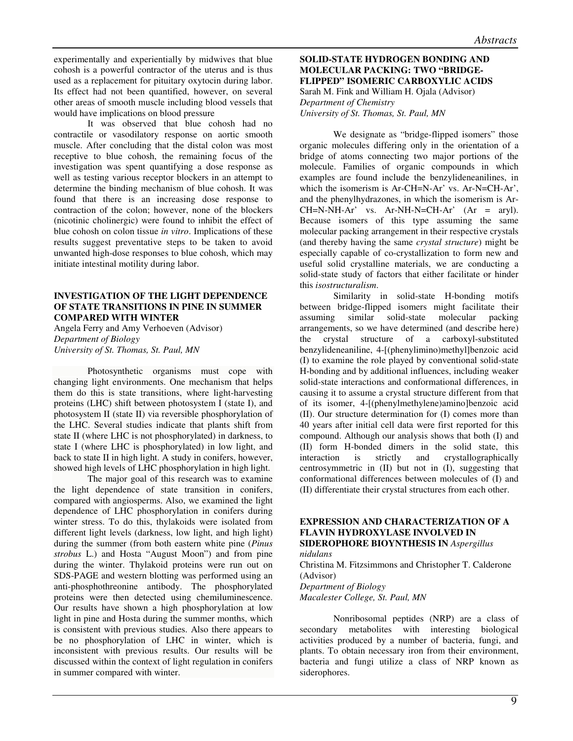experimentally and experientially by midwives that blue cohosh is a powerful contractor of the uterus and is thus used as a replacement for pituitary oxytocin during labor. Its effect had not been quantified, however, on several other areas of smooth muscle including blood vessels that would have implications on blood pressure

It was observed that blue cohosh had no contractile or vasodilatory response on aortic smooth muscle. After concluding that the distal colon was most receptive to blue cohosh, the remaining focus of the investigation was spent quantifying a dose response as well as testing various receptor blockers in an attempt to determine the binding mechanism of blue cohosh. It was found that there is an increasing dose response to contraction of the colon; however, none of the blockers (nicotinic cholinergic) were found to inhibit the effect of blue cohosh on colon tissue *in vitro*. Implications of these results suggest preventative steps to be taken to avoid unwanted high-dose responses to blue cohosh, which may initiate intestinal motility during labor.

# **INVESTIGATION OF THE LIGHT DEPENDENCE OF STATE TRANSITIONS IN PINE IN SUMMER COMPARED WITH WINTER**

Angela Ferry and Amy Verhoeven (Advisor) *Department of Biology University of St. Thomas, St. Paul, MN* 

Photosynthetic organisms must cope with changing light environments. One mechanism that helps them do this is state transitions, where light-harvesting proteins (LHC) shift between photosystem I (state I), and photosystem II (state II) via reversible phosphorylation of the LHC. Several studies indicate that plants shift from state II (where LHC is not phosphorylated) in darkness, to state I (where LHC is phosphorylated) in low light, and back to state II in high light. A study in conifers, however, showed high levels of LHC phosphorylation in high light.

The major goal of this research was to examine the light dependence of state transition in conifers, compared with angiosperms. Also, we examined the light dependence of LHC phosphorylation in conifers during winter stress. To do this, thylakoids were isolated from different light levels (darkness, low light, and high light) during the summer (from both eastern white pine (*Pinus strobus* L.) and Hosta "August Moon") and from pine during the winter. Thylakoid proteins were run out on SDS-PAGE and western blotting was performed using an anti-phosphothreonine antibody. The phosphorylated proteins were then detected using chemiluminescence. Our results have shown a high phosphorylation at low light in pine and Hosta during the summer months, which is consistent with previous studies. Also there appears to be no phosphorylation of LHC in winter, which is inconsistent with previous results. Our results will be discussed within the context of light regulation in conifers in summer compared with winter.

# **SOLID-STATE HYDROGEN BONDING AND MOLECULAR PACKING: TWO "BRIDGE-FLIPPED" ISOMERIC CARBOXYLIC ACIDS**

Sarah M. Fink and William H. Ojala (Advisor) *Department of Chemistry University of St. Thomas, St. Paul, MN* 

We designate as "bridge-flipped isomers" those organic molecules differing only in the orientation of a bridge of atoms connecting two major portions of the molecule. Families of organic compounds in which examples are found include the benzylideneanilines, in which the isomerism is Ar-CH=N-Ar' vs. Ar-N=CH-Ar', and the phenylhydrazones, in which the isomerism is Ar- $CH=N-NH-Ar'$  vs.  $Ar-NH-N=CH-Ar'$   $(Ar = aryl)$ . Because isomers of this type assuming the same molecular packing arrangement in their respective crystals (and thereby having the same *crystal structure*) might be especially capable of co-crystallization to form new and useful solid crystalline materials, we are conducting a solid-state study of factors that either facilitate or hinder this *isostructuralism*.

Similarity in solid-state H-bonding motifs between bridge-flipped isomers might facilitate their assuming similar solid-state molecular packing arrangements, so we have determined (and describe here) the crystal structure of a carboxyl-substituted benzylideneaniline, 4-[(phenylimino)methyl]benzoic acid (I) to examine the role played by conventional solid-state H-bonding and by additional influences, including weaker solid-state interactions and conformational differences, in causing it to assume a crystal structure different from that of its isomer, 4-[(phenylmethylene)amino]benzoic acid (II). Our structure determination for (I) comes more than 40 years after initial cell data were first reported for this compound. Although our analysis shows that both (I) and (II) form H-bonded dimers in the solid state, this interaction is strictly and crystallographically centrosymmetric in (II) but not in (I), suggesting that conformational differences between molecules of (I) and (II) differentiate their crystal structures from each other.

#### **EXPRESSION AND CHARACTERIZATION OF A FLAVIN HYDROXYLASE INVOLVED IN SIDEROPHORE BIOYNTHESIS IN** *Aspergillus nidulans*

Christina M. Fitzsimmons and Christopher T. Calderone (Advisor) *Department of Biology* 

*Macalester College, St. Paul, MN* 

Nonribosomal peptides (NRP) are a class of secondary metabolites with interesting biological activities produced by a number of bacteria, fungi, and plants. To obtain necessary iron from their environment, bacteria and fungi utilize a class of NRP known as siderophores.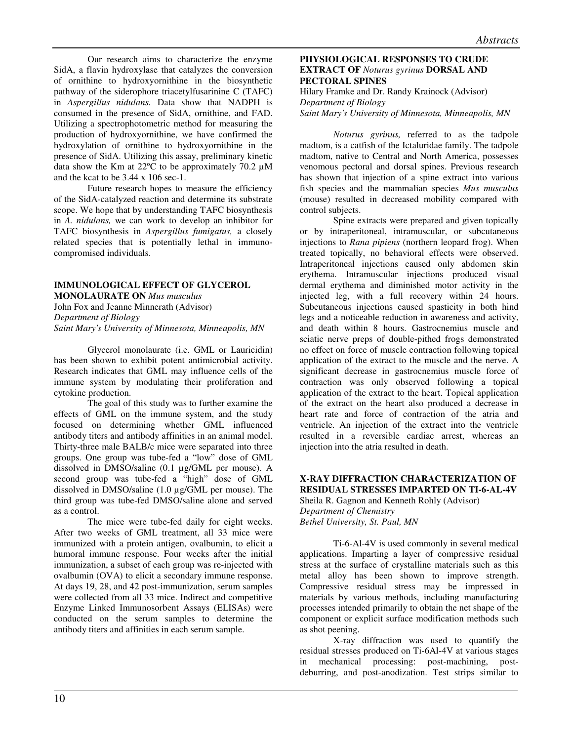Our research aims to characterize the enzyme SidA, a flavin hydroxylase that catalyzes the conversion of ornithine to hydroxyornithine in the biosynthetic pathway of the siderophore triacetylfusarinine C (TAFC) in *Aspergillus nidulans.* Data show that NADPH is consumed in the presence of SidA, ornithine, and FAD. Utilizing a spectrophotometric method for measuring the production of hydroxyornithine, we have confirmed the hydroxylation of ornithine to hydroxyornithine in the presence of SidA. Utilizing this assay, preliminary kinetic data show the Km at 22ºC to be approximately 70.2 µM and the kcat to be 3.44 x 106 sec-1.

Future research hopes to measure the efficiency of the SidA-catalyzed reaction and determine its substrate scope. We hope that by understanding TAFC biosynthesis in *A. nidulans,* we can work to develop an inhibitor for TAFC biosynthesis in *Aspergillus fumigatus,* a closely related species that is potentially lethal in immunocompromised individuals.

# **IMMUNOLOGICAL EFFECT OF GLYCEROL MONOLAURATE ON** *Mus musculus*  John Fox and Jeanne Minnerath (Advisor)

*Department of Biology Saint Mary's University of Minnesota, Minneapolis, MN* 

 Glycerol monolaurate (i.e. GML or Lauricidin) has been shown to exhibit potent antimicrobial activity. Research indicates that GML may influence cells of the immune system by modulating their proliferation and cytokine production.

The goal of this study was to further examine the effects of GML on the immune system, and the study focused on determining whether GML influenced antibody titers and antibody affinities in an animal model. Thirty-three male BALB/c mice were separated into three groups. One group was tube-fed a "low" dose of GML dissolved in DMSO/saline (0.1 µg/GML per mouse). A second group was tube-fed a "high" dose of GML dissolved in DMSO/saline (1.0 µg/GML per mouse). The third group was tube-fed DMSO/saline alone and served as a control.

The mice were tube-fed daily for eight weeks. After two weeks of GML treatment, all 33 mice were immunized with a protein antigen, ovalbumin, to elicit a humoral immune response. Four weeks after the initial immunization, a subset of each group was re-injected with ovalbumin (OVA) to elicit a secondary immune response. At days 19, 28, and 42 post-immunization, serum samples were collected from all 33 mice. Indirect and competitive Enzyme Linked Immunosorbent Assays (ELISAs) were conducted on the serum samples to determine the antibody titers and affinities in each serum sample.

# **PHYSIOLOGICAL RESPONSES TO CRUDE EXTRACT OF** *Noturus gyrinus* **DORSAL AND PECTORAL SPINES**

Hilary Framke and Dr. Randy Krainock (Advisor) *Department of Biology Saint Mary's University of Minnesota, Minneapolis, MN* 

*Noturus gyrinus,* referred to as the tadpole madtom, is a catfish of the Ictaluridae family. The tadpole madtom, native to Central and North America, possesses venomous pectoral and dorsal spines. Previous research has shown that injection of a spine extract into various fish species and the mammalian species *Mus musculus*  (mouse) resulted in decreased mobility compared with control subjects.

Spine extracts were prepared and given topically or by intraperitoneal, intramuscular, or subcutaneous injections to *Rana pipiens* (northern leopard frog). When treated topically, no behavioral effects were observed. Intraperitoneal injections caused only abdomen skin erythema. Intramuscular injections produced visual dermal erythema and diminished motor activity in the injected leg, with a full recovery within 24 hours. Subcutaneous injections caused spasticity in both hind legs and a noticeable reduction in awareness and activity, and death within 8 hours. Gastrocnemius muscle and sciatic nerve preps of double-pithed frogs demonstrated no effect on force of muscle contraction following topical application of the extract to the muscle and the nerve. A significant decrease in gastrocnemius muscle force of contraction was only observed following a topical application of the extract to the heart. Topical application of the extract on the heart also produced a decrease in heart rate and force of contraction of the atria and ventricle. An injection of the extract into the ventricle resulted in a reversible cardiac arrest, whereas an injection into the atria resulted in death.

#### **X-RAY DIFFRACTION CHARACTERIZATION OF RESIDUAL STRESSES IMPARTED ON TI-6-AL-4V**  Sheila R. Gagnon and Kenneth Rohly (Advisor)

*Department of Chemistry Bethel University, St. Paul, MN* 

Ti-6-Al-4V is used commonly in several medical applications. Imparting a layer of compressive residual stress at the surface of crystalline materials such as this metal alloy has been shown to improve strength. Compressive residual stress may be impressed in materials by various methods, including manufacturing processes intended primarily to obtain the net shape of the component or explicit surface modification methods such as shot peening.

X-ray diffraction was used to quantify the residual stresses produced on Ti-6Al-4V at various stages in mechanical processing: post-machining, postdeburring, and post-anodization. Test strips similar to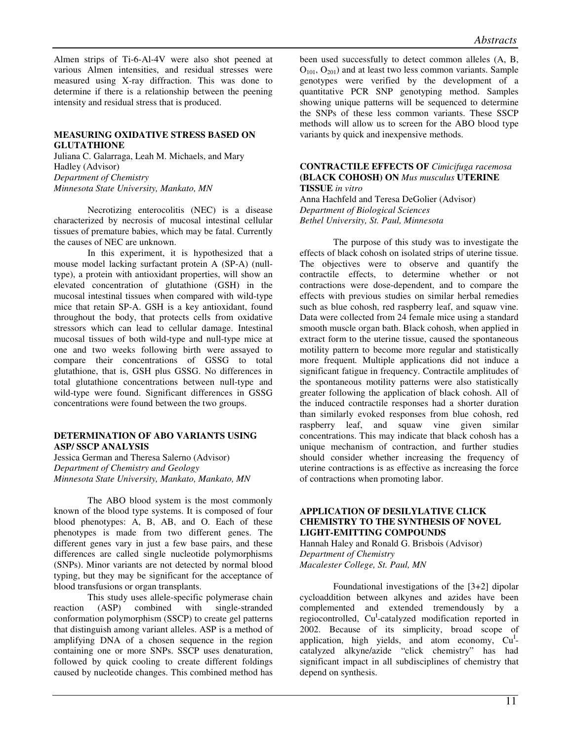Almen strips of Ti-6-Al-4V were also shot peened at various Almen intensities, and residual stresses were measured using X-ray diffraction. This was done to determine if there is a relationship between the peening intensity and residual stress that is produced.

# **MEASURING OXIDATIVE STRESS BASED ON GLUTATHIONE**

Juliana C. Galarraga, Leah M. Michaels, and Mary Hadley (Advisor) *Department of Chemistry Minnesota State University, Mankato, MN* 

Necrotizing enterocolitis (NEC) is a disease characterized by necrosis of mucosal intestinal cellular tissues of premature babies, which may be fatal. Currently the causes of NEC are unknown.

In this experiment, it is hypothesized that a mouse model lacking surfactant protein A (SP-A) (nulltype), a protein with antioxidant properties, will show an elevated concentration of glutathione (GSH) in the mucosal intestinal tissues when compared with wild-type mice that retain SP-A. GSH is a key antioxidant, found throughout the body, that protects cells from oxidative stressors which can lead to cellular damage. Intestinal mucosal tissues of both wild-type and null-type mice at one and two weeks following birth were assayed to compare their concentrations of GSSG to total glutathione, that is, GSH plus GSSG. No differences in total glutathione concentrations between null-type and wild-type were found. Significant differences in GSSG concentrations were found between the two groups.

# **DETERMINATION OF ABO VARIANTS USING ASP/ SSCP ANALYSIS**

Jessica German and Theresa Salerno (Advisor) *Department of Chemistry and Geology Minnesota State University, Mankato, Mankato, MN* 

The ABO blood system is the most commonly known of the blood type systems. It is composed of four blood phenotypes: A, B, AB, and O. Each of these phenotypes is made from two different genes. The different genes vary in just a few base pairs, and these differences are called single nucleotide polymorphisms (SNPs). Minor variants are not detected by normal blood typing, but they may be significant for the acceptance of blood transfusions or organ transplants.

This study uses allele-specific polymerase chain reaction (ASP) combined with single-stranded conformation polymorphism (SSCP) to create gel patterns that distinguish among variant alleles. ASP is a method of amplifying DNA of a chosen sequence in the region containing one or more SNPs. SSCP uses denaturation, followed by quick cooling to create different foldings caused by nucleotide changes. This combined method has

been used successfully to detect common alleles (A, B,  $O_{101}$ ,  $O_{201}$ ) and at least two less common variants. Sample genotypes were verified by the development of a quantitative PCR SNP genotyping method. Samples showing unique patterns will be sequenced to determine the SNPs of these less common variants. These SSCP methods will allow us to screen for the ABO blood type variants by quick and inexpensive methods.

#### **CONTRACTILE EFFECTS OF** *Cimicifuga racemosa* **(BLACK COHOSH) ON** *Mus musculus* **UTERINE TISSUE** *in vitro*

Anna Hachfeld and Teresa DeGolier (Advisor) *Department of Biological Sciences Bethel University, St. Paul, Minnesota* 

The purpose of this study was to investigate the effects of black cohosh on isolated strips of uterine tissue. The objectives were to observe and quantify the contractile effects, to determine whether or not contractions were dose-dependent, and to compare the effects with previous studies on similar herbal remedies such as blue cohosh, red raspberry leaf, and squaw vine. Data were collected from 24 female mice using a standard smooth muscle organ bath. Black cohosh, when applied in extract form to the uterine tissue, caused the spontaneous motility pattern to become more regular and statistically more frequent*.* Multiple applications did not induce a significant fatigue in frequency. Contractile amplitudes of the spontaneous motility patterns were also statistically greater following the application of black cohosh. All of the induced contractile responses had a shorter duration than similarly evoked responses from blue cohosh, red raspberry leaf, and squaw vine given similar concentrations. This may indicate that black cohosh has a unique mechanism of contraction, and further studies should consider whether increasing the frequency of uterine contractions is as effective as increasing the force of contractions when promoting labor.

# **APPLICATION OF DESILYLATIVE CLICK CHEMISTRY TO THE SYNTHESIS OF NOVEL LIGHT-EMITTING COMPOUNDS**

Hannah Haley and Ronald G. Brisbois (Advisor) *Department of Chemistry Macalester College, St. Paul, MN*

Foundational investigations of the [3+2] dipolar cycloaddition between alkynes and azides have been complemented and extended tremendously by a regiocontrolled, Cu<sup>I</sup>-catalyzed modification reported in 2002. Because of its simplicity, broad scope of application, high yields, and atom economy,  $Cu<sup>I</sup>$ catalyzed alkyne/azide "click chemistry" has had significant impact in all subdisciplines of chemistry that depend on synthesis.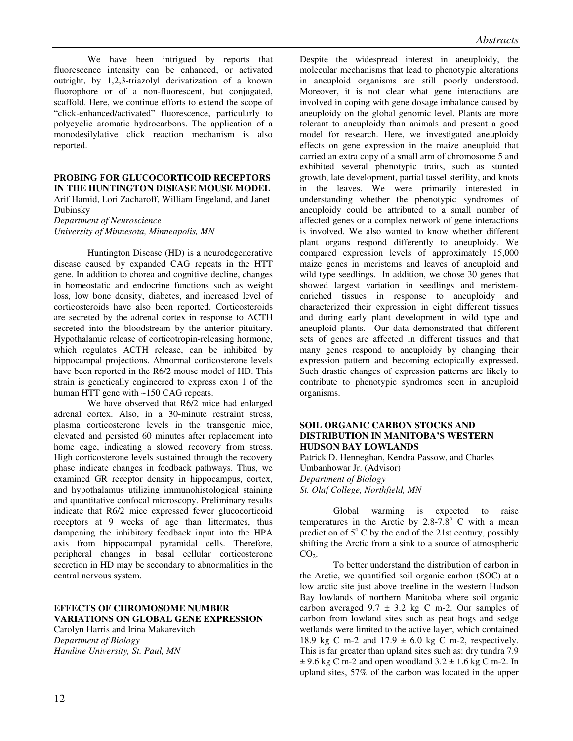We have been intrigued by reports that fluorescence intensity can be enhanced, or activated outright, by 1,2,3-triazolyl derivatization of a known fluorophore or of a non-fluorescent, but conjugated, scaffold. Here, we continue efforts to extend the scope of "click-enhanced/activated" fluorescence, particularly to polycyclic aromatic hydrocarbons. The application of a monodesilylative click reaction mechanism is also reported.

#### **PROBING FOR GLUCOCORTICOID RECEPTORS IN THE HUNTINGTON DISEASE MOUSE MODEL**

Arif Hamid, Lori Zacharoff, William Engeland, and Janet Dubinsky

*Department of Neuroscience University of Minnesota, Minneapolis, MN* 

Huntington Disease (HD) is a neurodegenerative disease caused by expanded CAG repeats in the HTT gene. In addition to chorea and cognitive decline, changes in homeostatic and endocrine functions such as weight loss, low bone density, diabetes, and increased level of corticosteroids have also been reported. Corticosteroids are secreted by the adrenal cortex in response to ACTH secreted into the bloodstream by the anterior pituitary. Hypothalamic release of corticotropin-releasing hormone, which regulates ACTH release, can be inhibited by hippocampal projections. Abnormal corticosterone levels have been reported in the R6/2 mouse model of HD. This strain is genetically engineered to express exon 1 of the human HTT gene with ~150 CAG repeats.

We have observed that R6/2 mice had enlarged adrenal cortex. Also, in a 30-minute restraint stress, plasma corticosterone levels in the transgenic mice, elevated and persisted 60 minutes after replacement into home cage, indicating a slowed recovery from stress. High corticosterone levels sustained through the recovery phase indicate changes in feedback pathways. Thus, we examined GR receptor density in hippocampus, cortex, and hypothalamus utilizing immunohistological staining and quantitative confocal microscopy. Preliminary results indicate that R6/2 mice expressed fewer glucocorticoid receptors at 9 weeks of age than littermates, thus dampening the inhibitory feedback input into the HPA axis from hippocampal pyramidal cells. Therefore, peripheral changes in basal cellular corticosterone secretion in HD may be secondary to abnormalities in the central nervous system.

# **EFFECTS OF CHROMOSOME NUMBER VARIATIONS ON GLOBAL GENE EXPRESSION**

Carolyn Harris and Irina Makarevitch *Department of Biology Hamline University, St. Paul, MN* 

Despite the widespread interest in aneuploidy, the molecular mechanisms that lead to phenotypic alterations in aneuploid organisms are still poorly understood. Moreover, it is not clear what gene interactions are involved in coping with gene dosage imbalance caused by aneuploidy on the global genomic level. Plants are more tolerant to aneuploidy than animals and present a good model for research. Here, we investigated aneuploidy effects on gene expression in the maize aneuploid that carried an extra copy of a small arm of chromosome 5 and exhibited several phenotypic traits, such as stunted growth, late development, partial tassel sterility, and knots in the leaves. We were primarily interested in understanding whether the phenotypic syndromes of aneuploidy could be attributed to a small number of affected genes or a complex network of gene interactions is involved. We also wanted to know whether different plant organs respond differently to aneuploidy. We compared expression levels of approximately 15,000 maize genes in meristems and leaves of aneuploid and wild type seedlings. In addition, we chose 30 genes that showed largest variation in seedlings and meristemenriched tissues in response to aneuploidy and characterized their expression in eight different tissues and during early plant development in wild type and aneuploid plants. Our data demonstrated that different sets of genes are affected in different tissues and that many genes respond to aneuploidy by changing their expression pattern and becoming ectopically expressed. Such drastic changes of expression patterns are likely to contribute to phenotypic syndromes seen in aneuploid organisms.

#### **SOIL ORGANIC CARBON STOCKS AND DISTRIBUTION IN MANITOBA'S WESTERN HUDSON BAY LOWLANDS**

Patrick D. Henneghan, Kendra Passow, and Charles Umbanhowar Jr. (Advisor) *Department of Biology St. Olaf College, Northfield, MN* 

Global warming is expected to raise temperatures in the Arctic by 2.8-7.8 $^{\circ}$  C with a mean prediction of  $5^{\circ}$  C by the end of the 21st century, possibly shifting the Arctic from a sink to a source of atmospheric  $CO<sub>2</sub>$ .

To better understand the distribution of carbon in the Arctic, we quantified soil organic carbon (SOC) at a low arctic site just above treeline in the western Hudson Bay lowlands of northern Manitoba where soil organic carbon averaged  $9.7 \pm 3.2$  kg C m-2. Our samples of carbon from lowland sites such as peat bogs and sedge wetlands were limited to the active layer, which contained 18.9 kg C m-2 and  $17.9 \pm 6.0$  kg C m-2, respectively. This is far greater than upland sites such as: dry tundra 7.9  $\pm$  9.6 kg C m-2 and open woodland 3.2  $\pm$  1.6 kg C m-2. In upland sites, 57% of the carbon was located in the upper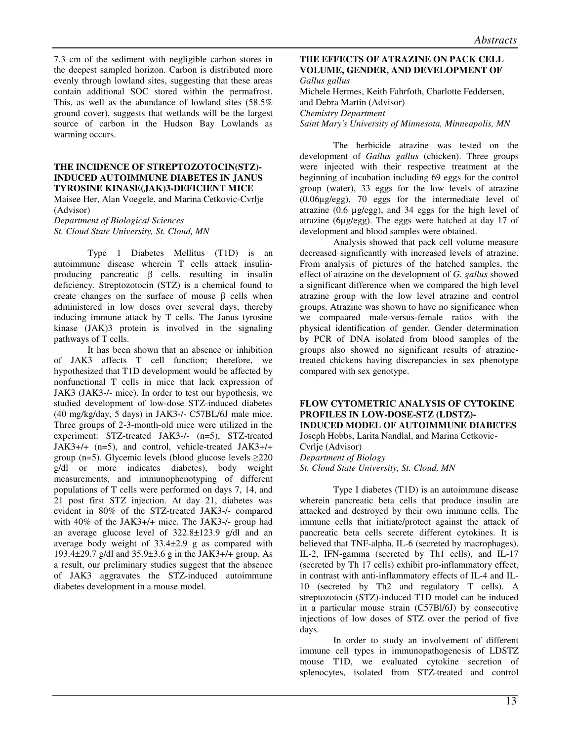7.3 cm of the sediment with negligible carbon stores in the deepest sampled horizon. Carbon is distributed more evenly through lowland sites, suggesting that these areas contain additional SOC stored within the permafrost. This, as well as the abundance of lowland sites (58.5% ground cover), suggests that wetlands will be the largest source of carbon in the Hudson Bay Lowlands as warming occurs.

#### **THE INCIDENCE OF STREPTOZOTOCIN(STZ)- INDUCED AUTOIMMUNE DIABETES IN JANUS TYROSINE KINASE(JAK)3-DEFICIENT MICE**

Maisee Her, Alan Voegele, and Marina Cetkovic-Cvrlje (Advisor)

*Department of Biological Sciences St. Cloud State University, St. Cloud, MN* 

Type 1 Diabetes Mellitus (T1D) is an autoimmune disease wherein T cells attack insulinproducing pancreatic β cells, resulting in insulin deficiency. Streptozotocin (STZ) is a chemical found to create changes on the surface of mouse  $\beta$  cells when administered in low doses over several days, thereby inducing immune attack by T cells. The Janus tyrosine kinase (JAK)3 protein is involved in the signaling pathways of T cells.

It has been shown that an absence or inhibition of JAK3 affects T cell function; therefore, we hypothesized that T1D development would be affected by nonfunctional T cells in mice that lack expression of JAK3 (JAK3-/- mice). In order to test our hypothesis, we studied development of low-dose STZ-induced diabetes (40 mg/kg/day, 5 days) in JAK3-/- C57BL/6J male mice. Three groups of 2-3-month-old mice were utilized in the experiment: STZ-treated JAK3-/- (n=5), STZ-treated JAK3+/+ (n=5), and control, vehicle-treated JAK3+/+ group (n=5). Glycemic levels (blood glucose levels  $\geq$ 220 g/dl or more indicates diabetes), body weight measurements, and immunophenotyping of different populations of T cells were performed on days 7, 14, and 21 post first STZ injection. At day 21, diabetes was evident in 80% of the STZ-treated JAK3-/- compared with 40% of the JAK3+/+ mice. The JAK3-/- group had an average glucose level of 322.8±123.9 g/dl and an average body weight of 33.4±2.9 g as compared with 193.4±29.7 g/dl and 35.9±3.6 g in the JAK3+/+ group. As a result, our preliminary studies suggest that the absence of JAK3 aggravates the STZ-induced autoimmune diabetes development in a mouse model.

#### **THE EFFECTS OF ATRAZINE ON PACK CELL VOLUME, GENDER, AND DEVELOPMENT OF** *Gallus gallus*

Michele Hermes, Keith Fahrfoth, Charlotte Feddersen, and Debra Martin (Advisor) *Chemistry Department Saint Mary's University of Minnesota, Minneapolis, MN* 

The herbicide atrazine was tested on the development of *Gallus gallus* (chicken). Three groups were injected with their respective treatment at the beginning of incubation including 69 eggs for the control group (water), 33 eggs for the low levels of atrazine (0.06µg/egg), 70 eggs for the intermediate level of atrazine (0.6 µg/egg), and 34 eggs for the high level of atrazine (6µg/egg). The eggs were hatched at day 17 of development and blood samples were obtained.

Analysis showed that pack cell volume measure decreased significantly with increased levels of atrazine. From analysis of pictures of the hatched samples, the effect of atrazine on the development of *G. gallus* showed a significant difference when we compared the high level atrazine group with the low level atrazine and control groups. Atrazine was shown to have no significance when we compaared male-versus-female ratios with the physical identification of gender. Gender determination by PCR of DNA isolated from blood samples of the groups also showed no significant results of atrazinetreated chickens having discrepancies in sex phenotype compared with sex genotype.

#### **FLOW CYTOMETRIC ANALYSIS OF CYTOKINE PROFILES IN LOW-DOSE-STZ (LDSTZ)- INDUCED MODEL OF AUTOIMMUNE DIABETES**  Joseph Hobbs, Larita Nandlal, and Marina Cetkovic-

Cvrlje (Advisor)

*Department of Biology* 

*St. Cloud State University, St. Cloud, MN* 

Type I diabetes (T1D) is an autoimmune disease wherein pancreatic beta cells that produce insulin are attacked and destroyed by their own immune cells. The immune cells that initiate/protect against the attack of pancreatic beta cells secrete different cytokines. It is believed that TNF-alpha, IL-6 (secreted by macrophages), IL-2, IFN-gamma (secreted by Th1 cells), and IL-17 (secreted by Th 17 cells) exhibit pro-inflammatory effect, in contrast with anti-inflammatory effects of IL-4 and IL-10 (secreted by Th2 and regulatory T cells). A streptozotocin (STZ)-induced T1D model can be induced in a particular mouse strain (C57Bl/6J) by consecutive injections of low doses of STZ over the period of five days.

In order to study an involvement of different immune cell types in immunopathogenesis of LDSTZ mouse T1D, we evaluated cytokine secretion of splenocytes, isolated from STZ-treated and control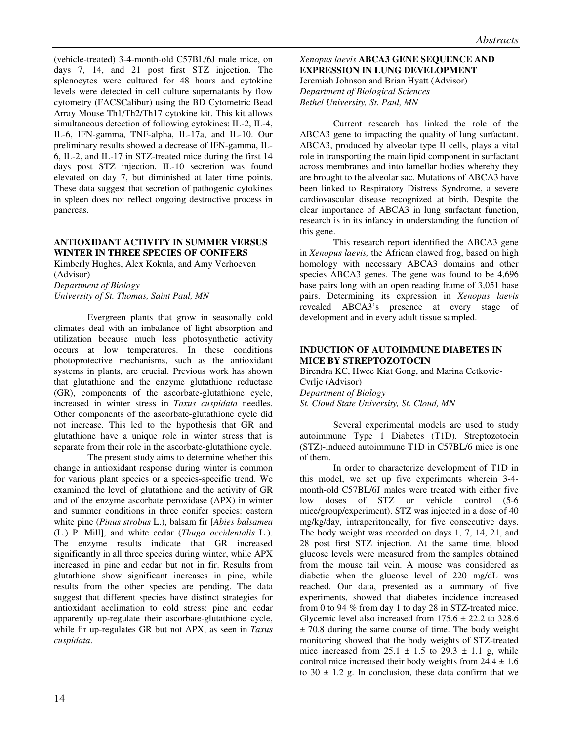(vehicle-treated) 3-4-month-old C57BL/6J male mice, on days 7, 14, and 21 post first STZ injection. The splenocytes were cultured for 48 hours and cytokine levels were detected in cell culture supernatants by flow cytometry (FACSCalibur) using the BD Cytometric Bead Array Mouse Th1/Th2/Th17 cytokine kit. This kit allows simultaneous detection of following cytokines: IL-2, IL-4, IL-6, IFN-gamma, TNF-alpha, IL-17a, and IL-10. Our preliminary results showed a decrease of IFN-gamma, IL-6, IL-2, and IL-17 in STZ-treated mice during the first 14 days post STZ injection. IL-10 secretion was found elevated on day 7, but diminished at later time points. These data suggest that secretion of pathogenic cytokines in spleen does not reflect ongoing destructive process in pancreas.

# **ANTIOXIDANT ACTIVITY IN SUMMER VERSUS WINTER IN THREE SPECIES OF CONIFERS**

Kimberly Hughes, Alex Kokula, and Amy Verhoeven (Advisor) *Department of Biology* 

*University of St. Thomas, Saint Paul, MN*

Evergreen plants that grow in seasonally cold climates deal with an imbalance of light absorption and utilization because much less photosynthetic activity occurs at low temperatures. In these conditions photoprotective mechanisms, such as the antioxidant systems in plants, are crucial. Previous work has shown that glutathione and the enzyme glutathione reductase (GR), components of the ascorbate-glutathione cycle, increased in winter stress in *Taxus cuspidata* needles. Other components of the ascorbate-glutathione cycle did not increase. This led to the hypothesis that GR and glutathione have a unique role in winter stress that is separate from their role in the ascorbate-glutathione cycle.

The present study aims to determine whether this change in antioxidant response during winter is common for various plant species or a species-specific trend. We examined the level of glutathione and the activity of GR and of the enzyme ascorbate peroxidase (APX) in winter and summer conditions in three conifer species: eastern white pine (*Pinus strobus* L.), balsam fir [*Abies balsamea* (L.) P. Mill], and white cedar (*Thuga occidentalis* L.). The enzyme results indicate that GR increased significantly in all three species during winter, while APX increased in pine and cedar but not in fir. Results from glutathione show significant increases in pine, while results from the other species are pending. The data suggest that different species have distinct strategies for antioxidant acclimation to cold stress: pine and cedar apparently up-regulate their ascorbate-glutathione cycle, while fir up-regulates GR but not APX, as seen in *Taxus cuspidata*.

*Xenopus laevis* **ABCA3 GENE SEQUENCE AND EXPRESSION IN LUNG DEVELOPMENT**  Jeremiah Johnson and Brian Hyatt (Advisor) *Department of Biological Sciences Bethel University, St. Paul, MN* 

Current research has linked the role of the ABCA3 gene to impacting the quality of lung surfactant. ABCA3, produced by alveolar type II cells, plays a vital role in transporting the main lipid component in surfactant across membranes and into lamellar bodies whereby they are brought to the alveolar sac. Mutations of ABCA3 have been linked to Respiratory Distress Syndrome, a severe cardiovascular disease recognized at birth. Despite the clear importance of ABCA3 in lung surfactant function, research is in its infancy in understanding the function of this gene.

This research report identified the ABCA3 gene in *Xenopus laevis,* the African clawed frog, based on high homology with necessary ABCA3 domains and other species ABCA3 genes. The gene was found to be 4,696 base pairs long with an open reading frame of 3,051 base pairs. Determining its expression in *Xenopus laevis*  revealed ABCA3's presence at every stage of development and in every adult tissue sampled.

# **INDUCTION OF AUTOIMMUNE DIABETES IN MICE BY STREPTOZOTOCIN**

Birendra KC, Hwee Kiat Gong, and Marina Cetkovic-Cvrlje (Advisor) *Department of Biology St. Cloud State University, St. Cloud, MN* 

Several experimental models are used to study autoimmune Type 1 Diabetes (T1D). Streptozotocin (STZ)-induced autoimmune T1D in C57BL/6 mice is one of them.

In order to characterize development of T1D in this model, we set up five experiments wherein 3-4 month-old C57BL/6J males were treated with either five low doses of STZ or vehicle control (5-6 mice/group/experiment). STZ was injected in a dose of 40 mg/kg/day, intraperitoneally, for five consecutive days. The body weight was recorded on days 1, 7, 14, 21, and 28 post first STZ injection. At the same time, blood glucose levels were measured from the samples obtained from the mouse tail vein. A mouse was considered as diabetic when the glucose level of 220 mg/dL was reached. Our data, presented as a summary of five experiments, showed that diabetes incidence increased from 0 to 94 % from day 1 to day 28 in STZ-treated mice. Glycemic level also increased from  $175.6 \pm 22.2$  to 328.6  $\pm$  70.8 during the same course of time. The body weight monitoring showed that the body weights of STZ-treated mice increased from  $25.1 \pm 1.5$  to  $29.3 \pm 1.1$  g, while control mice increased their body weights from  $24.4 \pm 1.6$ to  $30 \pm 1.2$  g. In conclusion, these data confirm that we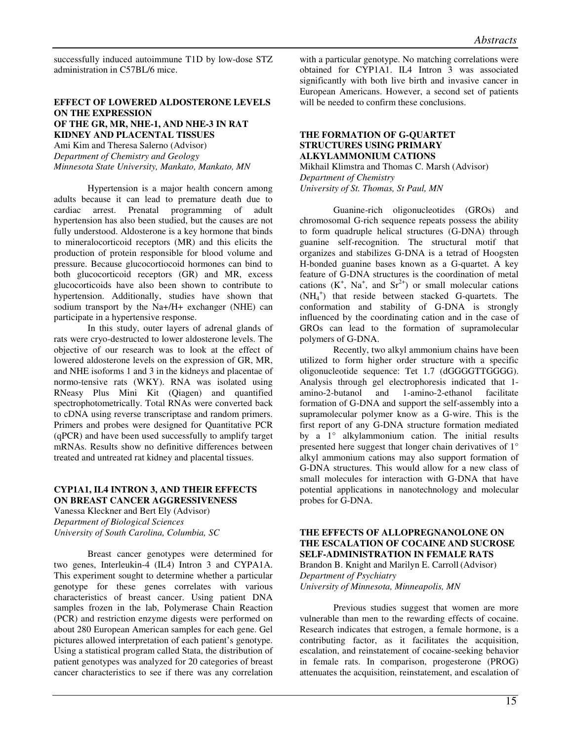successfully induced autoimmune T1D by low-dose STZ administration in C57BL/6 mice.

#### **EFFECT OF LOWERED ALDOSTERONE LEVELS ON THE EXPRESSION OF THE GR, MR, NHE-1, AND NHE-3 IN RAT KIDNEY AND PLACENTAL TISSUES**

Ami Kim and Theresa Salerno (Advisor) *Department of Chemistry and Geology Minnesota State University, Mankato, Mankato, MN* 

Hypertension is a major health concern among adults because it can lead to premature death due to cardiac arrest. Prenatal programming of adult hypertension has also been studied, but the causes are not fully understood. Aldosterone is a key hormone that binds to mineralocorticoid receptors (MR) and this elicits the production of protein responsible for blood volume and pressure. Because glucocortiocoid hormones can bind to both glucocorticoid receptors (GR) and MR, excess glucocorticoids have also been shown to contribute to hypertension. Additionally, studies have shown that sodium transport by the Na+/H+ exchanger (NHE) can participate in a hypertensive response.

In this study, outer layers of adrenal glands of rats were cryo-destructed to lower aldosterone levels. The objective of our research was to look at the effect of lowered aldosterone levels on the expression of GR, MR, and NHE isoforms 1 and 3 in the kidneys and placentae of normo-tensive rats (WKY). RNA was isolated using RNeasy Plus Mini Kit (Qiagen) and quantified spectrophotometrically. Total RNAs were converted back to cDNA using reverse transcriptase and random primers. Primers and probes were designed for Quantitative PCR (qPCR) and have been used successfully to amplify target mRNAs. Results show no definitive differences between treated and untreated rat kidney and placental tissues.

# **CYP1A1, IL4 INTRON 3, AND THEIR EFFECTS ON BREAST CANCER AGGRESSIVENESS**

Vanessa Kleckner and Bert Ely (Advisor) *Department of Biological Sciences University of South Carolina, Columbia, SC* 

Breast cancer genotypes were determined for two genes, Interleukin-4 (IL4) Intron 3 and CYPA1A. This experiment sought to determine whether a particular genotype for these genes correlates with various characteristics of breast cancer. Using patient DNA samples frozen in the lab, Polymerase Chain Reaction (PCR) and restriction enzyme digests were performed on about 280 European American samples for each gene. Gel pictures allowed interpretation of each patient's genotype. Using a statistical program called Stata, the distribution of patient genotypes was analyzed for 20 categories of breast cancer characteristics to see if there was any correlation

with a particular genotype. No matching correlations were obtained for CYP1A1. IL4 Intron 3 was associated significantly with both live birth and invasive cancer in European Americans. However, a second set of patients will be needed to confirm these conclusions.

# **THE FORMATION OF G-QUARTET STRUCTURES USING PRIMARY ALKYLAMMONIUM CATIONS**

Mikhail Klimstra and Thomas C. Marsh (Advisor) *Department of Chemistry University of St. Thomas, St Paul, MN* 

Guanine-rich oligonucleotides (GROs) and chromosomal G-rich sequence repeats possess the ability to form quadruple helical structures (G-DNA) through guanine self-recognition. The structural motif that organizes and stabilizes G-DNA is a tetrad of Hoogsten H-bonded guanine bases known as a G-quartet. A key feature of G-DNA structures is the coordination of metal cations  $(K^+, Na^+, and Sr^{2+})$  or small molecular cations (NH<sup>4</sup> + ) that reside between stacked G-quartets. The conformation and stability of G-DNA is strongly influenced by the coordinating cation and in the case of GROs can lead to the formation of supramolecular polymers of G-DNA.

Recently, two alkyl ammonium chains have been utilized to form higher order structure with a specific oligonucleotide sequence: Tet 1.7 (dGGGGTTGGGG). Analysis through gel electrophoresis indicated that 1 amino-2-butanol and 1-amino-2-ethanol facilitate formation of G-DNA and support the self-assembly into a supramolecular polymer know as a G-wire. This is the first report of any G-DNA structure formation mediated by a 1° alkylammonium cation. The initial results presented here suggest that longer chain derivatives of 1° alkyl ammonium cations may also support formation of G-DNA structures. This would allow for a new class of small molecules for interaction with G-DNA that have potential applications in nanotechnology and molecular probes for G-DNA.

# **THE EFFECTS OF ALLOPREGNANOLONE ON THE ESCALATION OF COCAINE AND SUCROSE SELF-ADMINISTRATION IN FEMALE RATS** Brandon B. Knight and Marilyn E. Carroll (Advisor) *Department of Psychiatry*

*University of Minnesota, Minneapolis, MN* 

Previous studies suggest that women are more vulnerable than men to the rewarding effects of cocaine. Research indicates that estrogen, a female hormone, is a contributing factor, as it facilitates the acquisition, escalation, and reinstatement of cocaine-seeking behavior in female rats. In comparison, progesterone (PROG) attenuates the acquisition, reinstatement, and escalation of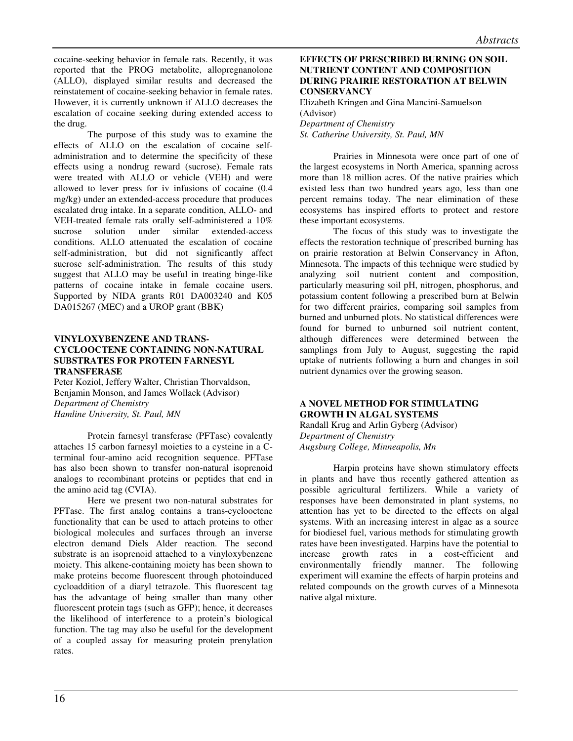cocaine-seeking behavior in female rats. Recently, it was reported that the PROG metabolite, allopregnanolone (ALLO), displayed similar results and decreased the reinstatement of cocaine-seeking behavior in female rates. However, it is currently unknown if ALLO decreases the escalation of cocaine seeking during extended access to the drug.

The purpose of this study was to examine the effects of ALLO on the escalation of cocaine selfadministration and to determine the specificity of these effects using a nondrug reward (sucrose). Female rats were treated with ALLO or vehicle (VEH) and were allowed to lever press for iv infusions of cocaine (0.4 mg/kg) under an extended-access procedure that produces escalated drug intake. In a separate condition, ALLO- and VEH-treated female rats orally self-administered a 10% sucrose solution under similar extended-access conditions. ALLO attenuated the escalation of cocaine self-administration, but did not significantly affect sucrose self-administration. The results of this study suggest that ALLO may be useful in treating binge-like patterns of cocaine intake in female cocaine users. Supported by NIDA grants R01 DA003240 and K05 DA015267 (MEC) and a UROP grant (BBK)

# **VINYLOXYBENZENE AND TRANS-CYCLOOCTENE CONTAINING NON-NATURAL SUBSTRATES FOR PROTEIN FARNESYL TRANSFERASE**

Peter Koziol, Jeffery Walter, Christian Thorvaldson, Benjamin Monson, and James Wollack (Advisor) *Department of Chemistry Hamline University, St. Paul, MN* 

Protein farnesyl transferase (PFTase) covalently attaches 15 carbon farnesyl moieties to a cysteine in a Cterminal four-amino acid recognition sequence. PFTase has also been shown to transfer non-natural isoprenoid analogs to recombinant proteins or peptides that end in the amino acid tag (CVIA).

Here we present two non-natural substrates for PFTase. The first analog contains a trans-cyclooctene functionality that can be used to attach proteins to other biological molecules and surfaces through an inverse electron demand Diels Alder reaction. The second substrate is an isoprenoid attached to a vinyloxybenzene moiety. This alkene-containing moiety has been shown to make proteins become fluorescent through photoinduced cycloaddition of a diaryl tetrazole. This fluorescent tag has the advantage of being smaller than many other fluorescent protein tags (such as GFP); hence, it decreases the likelihood of interference to a protein's biological function. The tag may also be useful for the development of a coupled assay for measuring protein prenylation rates.

# **EFFECTS OF PRESCRIBED BURNING ON SOIL NUTRIENT CONTENT AND COMPOSITION DURING PRAIRIE RESTORATION AT BELWIN CONSERVANCY**

Elizabeth Kringen and Gina Mancini-Samuelson (Advisor)

*Department of Chemistry St. Catherine University, St. Paul, MN*

Prairies in Minnesota were once part of one of the largest ecosystems in North America, spanning across more than 18 million acres. Of the native prairies which existed less than two hundred years ago, less than one percent remains today. The near elimination of these ecosystems has inspired efforts to protect and restore these important ecosystems.

The focus of this study was to investigate the effects the restoration technique of prescribed burning has on prairie restoration at Belwin Conservancy in Afton, Minnesota. The impacts of this technique were studied by analyzing soil nutrient content and composition, particularly measuring soil pH, nitrogen, phosphorus, and potassium content following a prescribed burn at Belwin for two different prairies, comparing soil samples from burned and unburned plots. No statistical differences were found for burned to unburned soil nutrient content, although differences were determined between the samplings from July to August, suggesting the rapid uptake of nutrients following a burn and changes in soil nutrient dynamics over the growing season.

# **A NOVEL METHOD FOR STIMULATING GROWTH IN ALGAL SYSTEMS**

Randall Krug and Arlin Gyberg (Advisor) *Department of Chemistry Augsburg College, Minneapolis, Mn* 

Harpin proteins have shown stimulatory effects in plants and have thus recently gathered attention as possible agricultural fertilizers. While a variety of responses have been demonstrated in plant systems, no attention has yet to be directed to the effects on algal systems. With an increasing interest in algae as a source for biodiesel fuel, various methods for stimulating growth rates have been investigated. Harpins have the potential to increase growth rates in a cost-efficient and environmentally friendly manner. The following experiment will examine the effects of harpin proteins and related compounds on the growth curves of a Minnesota native algal mixture.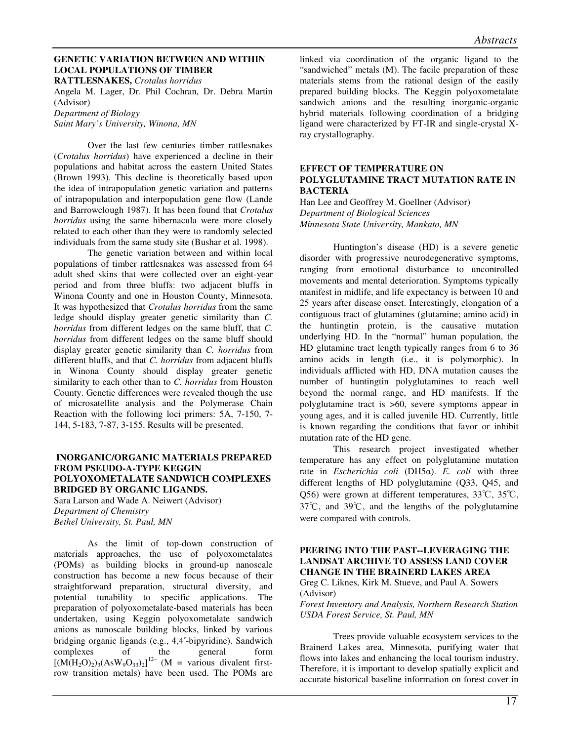#### **GENETIC VARIATION BETWEEN AND WITHIN LOCAL POPULATIONS OF TIMBER**

**RATTLESNAKES,** *Crotalus horridus* 

Angela M. Lager, Dr. Phil Cochran, Dr. Debra Martin (Advisor) *Department of Biology Saint Mary's University, Winona, MN* 

Over the last few centuries timber rattlesnakes (*Crotalus horridus*) have experienced a decline in their populations and habitat across the eastern United States (Brown 1993). This decline is theoretically based upon the idea of intrapopulation genetic variation and patterns of intrapopulation and interpopulation gene flow (Lande and Barrowclough 1987). It has been found that *Crotalus horridus* using the same hibernacula were more closely related to each other than they were to randomly selected individuals from the same study site (Bushar et al. 1998).

The genetic variation between and within local populations of timber rattlesnakes was assessed from 64 adult shed skins that were collected over an eight-year period and from three bluffs: two adjacent bluffs in Winona County and one in Houston County, Minnesota. It was hypothesized that *Crotalus horridus* from the same ledge should display greater genetic similarity than *C. horridus* from different ledges on the same bluff, that *C. horridus* from different ledges on the same bluff should display greater genetic similarity than *C. horridus* from different bluffs, and that *C. horridus* from adjacent bluffs in Winona County should display greater genetic similarity to each other than to *C. horridus* from Houston County. Genetic differences were revealed though the use of microsatellite analysis and the Polymerase Chain Reaction with the following loci primers: 5A, 7-150, 7- 144, 5-183, 7-87, 3-155. Results will be presented.

# **INORGANIC/ORGANIC MATERIALS PREPARED FROM PSEUDO-A-TYPE KEGGIN POLYOXOMETALATE SANDWICH COMPLEXES BRIDGED BY ORGANIC LIGANDS.**

Sara Larson and Wade A. Neiwert (Advisor) *Department of Chemistry Bethel University, St. Paul, MN* 

As the limit of top-down construction of materials approaches, the use of polyoxometalates (POMs) as building blocks in ground-up nanoscale construction has become a new focus because of their straightforward preparation, structural diversity, and potential tunability to specific applications. The preparation of polyoxometalate-based materials has been undertaken, using Keggin polyoxometalate sandwich anions as nanoscale building blocks, linked by various bridging organic ligands (e.g., 4,4′-bipyridine). Sandwich complexes of the general form  $[(M(H_2O)_2)_3(AsW_9O_{33})_2]^{12}$  (M = various divalent firstrow transition metals) have been used. The POMs are

linked via coordination of the organic ligand to the "sandwiched" metals (M). The facile preparation of these materials stems from the rational design of the easily prepared building blocks. The Keggin polyoxometalate sandwich anions and the resulting inorganic-organic hybrid materials following coordination of a bridging ligand were characterized by FT-IR and single-crystal Xray crystallography.

# **EFFECT OF TEMPERATURE ON POLYGLUTAMINE TRACT MUTATION RATE IN BACTERIA**

Han Lee and Geoffrey M. Goellner (Advisor) *Department of Biological Sciences Minnesota State University, Mankato, MN* 

Huntington's disease (HD) is a severe genetic disorder with progressive neurodegenerative symptoms, ranging from emotional disturbance to uncontrolled movements and mental deterioration. Symptoms typically manifest in midlife, and life expectancy is between 10 and 25 years after disease onset. Interestingly, elongation of a contiguous tract of glutamines (glutamine; amino acid) in the huntingtin protein, is the causative mutation underlying HD. In the "normal" human population, the HD glutamine tract length typically ranges from 6 to 36 amino acids in length (i.e., it is polymorphic). In individuals afflicted with HD, DNA mutation causes the number of huntingtin polyglutamines to reach well beyond the normal range, and HD manifests. If the polyglutamine tract is >60, severe symptoms appear in young ages, and it is called juvenile HD. Currently, little is known regarding the conditions that favor or inhibit mutation rate of the HD gene.

This research project investigated whether temperature has any effect on polyglutamine mutation rate in *Escherichia coli* (DH5α). *E. coli* with three different lengths of HD polyglutamine (Q33, Q45, and Q56) were grown at different temperatures, 33℃, 35℃, 37℃, and 39℃, and the lengths of the polyglutamine were compared with controls.

# **PEERING INTO THE PAST--LEVERAGING THE LANDSAT ARCHIVE TO ASSESS LAND COVER CHANGE IN THE BRAINERD LAKES AREA**

Greg C. Liknes, Kirk M. Stueve, and Paul A. Sowers (Advisor)

*Forest Inventory and Analysis, Northern Research Station USDA Forest Service, St. Paul, MN* 

Trees provide valuable ecosystem services to the Brainerd Lakes area, Minnesota, purifying water that flows into lakes and enhancing the local tourism industry. Therefore, it is important to develop spatially explicit and accurate historical baseline information on forest cover in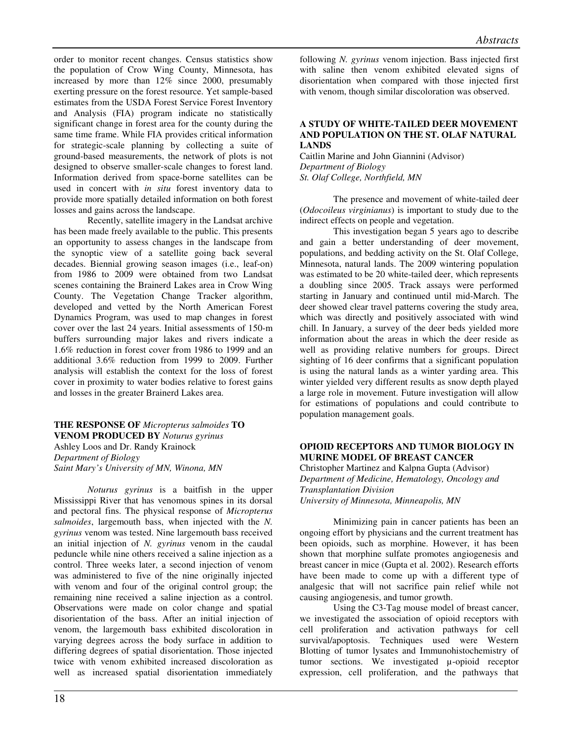order to monitor recent changes. Census statistics show the population of Crow Wing County, Minnesota, has increased by more than 12% since 2000, presumably exerting pressure on the forest resource. Yet sample-based estimates from the USDA Forest Service Forest Inventory and Analysis (FIA) program indicate no statistically significant change in forest area for the county during the same time frame. While FIA provides critical information for strategic-scale planning by collecting a suite of ground-based measurements, the network of plots is not designed to observe smaller-scale changes to forest land. Information derived from space-borne satellites can be used in concert with *in situ* forest inventory data to provide more spatially detailed information on both forest losses and gains across the landscape.

Recently, satellite imagery in the Landsat archive has been made freely available to the public. This presents an opportunity to assess changes in the landscape from the synoptic view of a satellite going back several decades. Biennial growing season images (i.e., leaf-on) from 1986 to 2009 were obtained from two Landsat scenes containing the Brainerd Lakes area in Crow Wing County. The Vegetation Change Tracker algorithm, developed and vetted by the North American Forest Dynamics Program, was used to map changes in forest cover over the last 24 years. Initial assessments of 150-m buffers surrounding major lakes and rivers indicate a 1.6% reduction in forest cover from 1986 to 1999 and an additional 3.6% reduction from 1999 to 2009. Further analysis will establish the context for the loss of forest cover in proximity to water bodies relative to forest gains and losses in the greater Brainerd Lakes area.

# **THE RESPONSE OF** *Micropterus salmoides* **TO VENOM PRODUCED BY** *Noturus gyrinus*  Ashley Loos and Dr. Randy Krainock *Department of Biology*

*Saint Mary's University of MN, Winona, MN* 

*Noturus gyrinus* is a baitfish in the upper Mississippi River that has venomous spines in its dorsal and pectoral fins. The physical response of *Micropterus salmoides*, largemouth bass, when injected with the *N. gyrinus* venom was tested. Nine largemouth bass received an initial injection of *N. gyrinus* venom in the caudal peduncle while nine others received a saline injection as a control. Three weeks later, a second injection of venom was administered to five of the nine originally injected with venom and four of the original control group; the remaining nine received a saline injection as a control. Observations were made on color change and spatial disorientation of the bass. After an initial injection of venom, the largemouth bass exhibited discoloration in varying degrees across the body surface in addition to differing degrees of spatial disorientation. Those injected twice with venom exhibited increased discoloration as well as increased spatial disorientation immediately

following *N. gyrinus* venom injection. Bass injected first with saline then venom exhibited elevated signs of disorientation when compared with those injected first with venom, though similar discoloration was observed.

# **A STUDY OF WHITE-TAILED DEER MOVEMENT AND POPULATION ON THE ST. OLAF NATURAL LANDS**

Caitlin Marine and John Giannini (Advisor) *Department of Biology St. Olaf College, Northfield, MN* 

The presence and movement of white-tailed deer (*Odocoileus virginianus*) is important to study due to the indirect effects on people and vegetation.

This investigation began 5 years ago to describe and gain a better understanding of deer movement, populations, and bedding activity on the St. Olaf College, Minnesota, natural lands. The 2009 wintering population was estimated to be 20 white-tailed deer, which represents a doubling since 2005. Track assays were performed starting in January and continued until mid-March. The deer showed clear travel patterns covering the study area, which was directly and positively associated with wind chill. In January, a survey of the deer beds yielded more information about the areas in which the deer reside as well as providing relative numbers for groups. Direct sighting of 16 deer confirms that a significant population is using the natural lands as a winter yarding area. This winter yielded very different results as snow depth played a large role in movement. Future investigation will allow for estimations of populations and could contribute to population management goals.

# **OPIOID RECEPTORS AND TUMOR BIOLOGY IN MURINE MODEL OF BREAST CANCER**

Christopher Martinez and Kalpna Gupta (Advisor) *Department of Medicine, Hematology, Oncology and Transplantation Division University of Minnesota, Minneapolis, MN* 

Minimizing pain in cancer patients has been an ongoing effort by physicians and the current treatment has been opioids, such as morphine. However, it has been shown that morphine sulfate promotes angiogenesis and breast cancer in mice (Gupta et al. 2002). Research efforts have been made to come up with a different type of analgesic that will not sacrifice pain relief while not causing angiogenesis, and tumor growth.

Using the C3-Tag mouse model of breast cancer, we investigated the association of opioid receptors with cell proliferation and activation pathways for cell survival/apoptosis. Techniques used were Western Blotting of tumor lysates and Immunohistochemistry of tumor sections. We investigated µ-opioid receptor expression, cell proliferation, and the pathways that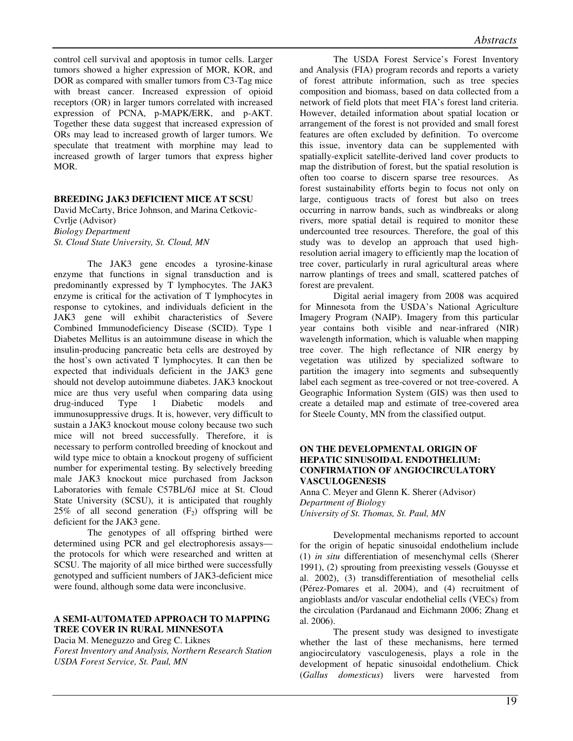control cell survival and apoptosis in tumor cells. Larger tumors showed a higher expression of MOR, KOR, and DOR as compared with smaller tumors from C3-Tag mice with breast cancer. Increased expression of opioid receptors (OR) in larger tumors correlated with increased expression of PCNA, p-MAPK/ERK, and p-AKT. Together these data suggest that increased expression of ORs may lead to increased growth of larger tumors. We speculate that treatment with morphine may lead to increased growth of larger tumors that express higher MOR.

#### **BREEDING JAK3 DEFICIENT MICE AT SCSU**

David McCarty, Brice Johnson, and Marina Cetkovic-Cvrlje (Advisor) *Biology Department St. Cloud State University, St. Cloud, MN* 

The JAK3 gene encodes a tyrosine-kinase enzyme that functions in signal transduction and is predominantly expressed by T lymphocytes. The JAK3 enzyme is critical for the activation of T lymphocytes in response to cytokines, and individuals deficient in the JAK3 gene will exhibit characteristics of Severe Combined Immunodeficiency Disease (SCID). Type 1 Diabetes Mellitus is an autoimmune disease in which the insulin-producing pancreatic beta cells are destroyed by the host's own activated T lymphocytes. It can then be expected that individuals deficient in the JAK3 gene should not develop autoimmune diabetes. JAK3 knockout mice are thus very useful when comparing data using drug-induced Type 1 Diabetic models and immunosuppressive drugs. It is, however, very difficult to sustain a JAK3 knockout mouse colony because two such mice will not breed successfully. Therefore, it is necessary to perform controlled breeding of knockout and wild type mice to obtain a knockout progeny of sufficient number for experimental testing. By selectively breeding male JAK3 knockout mice purchased from Jackson Laboratories with female C57BL/6J mice at St. Cloud State University (SCSU), it is anticipated that roughly 25% of all second generation  $(F_2)$  offspring will be deficient for the JAK3 gene.

The genotypes of all offspring birthed were determined using PCR and gel electrophoresis assays the protocols for which were researched and written at SCSU. The majority of all mice birthed were successfully genotyped and sufficient numbers of JAK3-deficient mice were found, although some data were inconclusive.

# **A SEMI-AUTOMATED APPROACH TO MAPPING TREE COVER IN RURAL MINNESOTA**

Dacia M. Meneguzzo and Greg C. Liknes

*Forest Inventory and Analysis, Northern Research Station USDA Forest Service, St. Paul, MN* 

 The USDA Forest Service's Forest Inventory and Analysis (FIA) program records and reports a variety of forest attribute information, such as tree species composition and biomass, based on data collected from a network of field plots that meet FIA's forest land criteria. However, detailed information about spatial location or arrangement of the forest is not provided and small forest features are often excluded by definition. To overcome this issue, inventory data can be supplemented with spatially-explicit satellite-derived land cover products to map the distribution of forest, but the spatial resolution is often too coarse to discern sparse tree resources. As forest sustainability efforts begin to focus not only on large, contiguous tracts of forest but also on trees occurring in narrow bands, such as windbreaks or along rivers, more spatial detail is required to monitor these undercounted tree resources. Therefore, the goal of this study was to develop an approach that used highresolution aerial imagery to efficiently map the location of tree cover, particularly in rural agricultural areas where narrow plantings of trees and small, scattered patches of forest are prevalent.

 Digital aerial imagery from 2008 was acquired for Minnesota from the USDA's National Agriculture Imagery Program (NAIP). Imagery from this particular year contains both visible and near-infrared (NIR) wavelength information, which is valuable when mapping tree cover. The high reflectance of NIR energy by vegetation was utilized by specialized software to partition the imagery into segments and subsequently label each segment as tree-covered or not tree-covered. A Geographic Information System (GIS) was then used to create a detailed map and estimate of tree-covered area for Steele County, MN from the classified output.

# **ON THE DEVELOPMENTAL ORIGIN OF HEPATIC SINUSOIDAL ENDOTHELIUM: CONFIRMATION OF ANGIOCIRCULATORY VASCULOGENESIS**

Anna C. Meyer and Glenn K. Sherer (Advisor) *Department of Biology University of St. Thomas, St. Paul, MN*

Developmental mechanisms reported to account for the origin of hepatic sinusoidal endothelium include (1) *in situ* differentiation of mesenchymal cells (Sherer 1991), (2) sprouting from preexisting vessels (Gouysse et al. 2002), (3) transdifferentiation of mesothelial cells (Pérez-Pomares et al. 2004), and (4) recruitment of angioblasts and/or vascular endothelial cells (VECs) from the circulation (Pardanaud and Eichmann 2006; Zhang et al. 2006).

The present study was designed to investigate whether the last of these mechanisms, here termed angiocirculatory vasculogenesis, plays a role in the development of hepatic sinusoidal endothelium. Chick (*Gallus domesticus*) livers were harvested from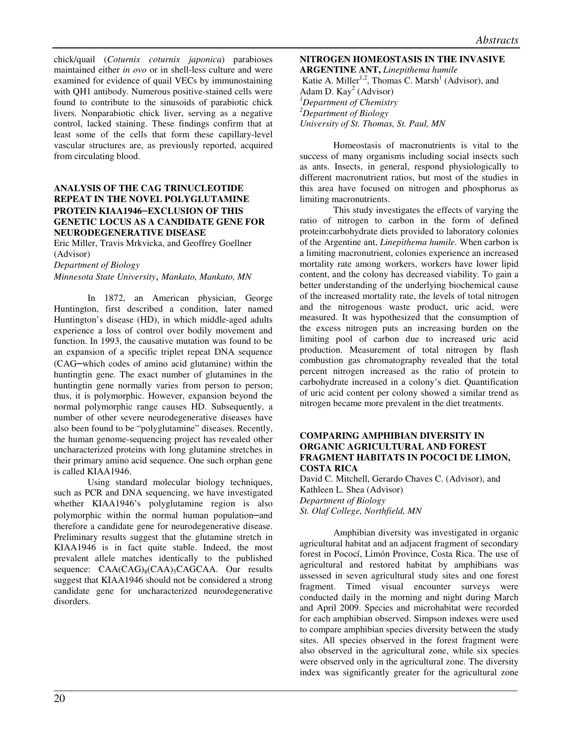chick/quail (*Coturnix coturnix japonica*) parabioses maintained either *in ovo* or in shell-less culture and were examined for evidence of quail VECs by immunostaining with QH1 antibody. Numerous positive-stained cells were found to contribute to the sinusoids of parabiotic chick livers. Nonparabiotic chick liver, serving as a negative control, lacked staining. These findings confirm that at least some of the cells that form these capillary-level vascular structures are, as previously reported, acquired from circulating blood.

# **ANALYSIS OF THE CAG TRINUCLEOTIDE REPEAT IN THE NOVEL POLYGLUTAMINE PROTEIN KIAA1946**–**EXCLUSION OF THIS GENETIC LOCUS AS A CANDIDATE GENE FOR NEURODEGENERATIVE DISEASE**

Eric Miller, Travis Mrkvicka, and Geoffrey Goellner (Advisor)

*Department of Biology* 

#### *Minnesota State University*, *Mankato, Mankato, MN*

In 1872, an American physician, George Huntington, first described a condition, later named Huntington's disease (HD), in which middle-aged adults experience a loss of control over bodily movement and function. In 1993, the causative mutation was found to be an expansion of a specific triplet repeat DNA sequence (CAG–which codes of amino acid glutamine) within the huntingtin gene. The exact number of glutamines in the huntingtin gene normally varies from person to person; thus, it is polymorphic. However, expansion beyond the normal polymorphic range causes HD. Subsequently, a number of other severe neurodegenerative diseases have also been found to be "polyglutamine" diseases. Recently, the human genome-sequencing project has revealed other uncharacterized proteins with long glutamine stretches in their primary amino acid sequence. One such orphan gene is called KIAA1946.

Using standard molecular biology techniques, such as PCR and DNA sequencing, we have investigated whether KIAA1946's polyglutamine region is also polymorphic within the normal human population–and therefore a candidate gene for neurodegenerative disease. Preliminary results suggest that the glutamine stretch in KIAA1946 is in fact quite stable. Indeed, the most prevalent allele matches identically to the published sequence: CAA(CAG)<sub>8</sub>(CAA)<sub>5</sub>CAGCAA. Our results suggest that KIAA1946 should not be considered a strong candidate gene for uncharacterized neurodegenerative disorders.

# **NITROGEN HOMEOSTASIS IN THE INVASIVE ARGENTINE ANT,** *Linepithema humile*  Katie A. Miller<sup>1,2</sup>, Thomas C. Marsh<sup>1</sup> (Advisor), and Adam D.  $\text{Kay}^2$  (Advisor) *<sup>1</sup>Department of Chemistry <sup>2</sup>Department of Biology University of St. Thomas, St. Paul, MN*

Homeostasis of macronutrients is vital to the success of many organisms including social insects such as ants. Insects, in general, respond physiologically to different macronutrient ratios, but most of the studies in this area have focused on nitrogen and phosphorus as limiting macronutrients.

This study investigates the effects of varying the ratio of nitrogen to carbon in the form of defined protein:carbohydrate diets provided to laboratory colonies of the Argentine ant, *Linepithema humile.* When carbon is a limiting macronutrient, colonies experience an increased mortality rate among workers, workers have lower lipid content, and the colony has decreased viability. To gain a better understanding of the underlying biochemical cause of the increased mortality rate, the levels of total nitrogen and the nitrogenous waste product, uric acid, were measured. It was hypothesized that the consumption of the excess nitrogen puts an increasing burden on the limiting pool of carbon due to increased uric acid production. Measurement of total nitrogen by flash combustion gas chromatography revealed that the total percent nitrogen increased as the ratio of protein to carbohydrate increased in a colony's diet. Quantification of uric acid content per colony showed a similar trend as nitrogen became more prevalent in the diet treatments.

#### **COMPARING AMPHIBIAN DIVERSITY IN ORGANIC AGRICULTURAL AND FOREST FRAGMENT HABITATS IN POCOCI DE LIMON, COSTA RICA**

David C. Mitchell, Gerardo Chaves C. (Advisor), and Kathleen L. Shea (Advisor) *Department of Biology St. Olaf College, Northfield, MN* 

Amphibian diversity was investigated in organic agricultural habitat and an adjacent fragment of secondary forest in Pococí, Limón Province, Costa Rica. The use of agricultural and restored habitat by amphibians was assessed in seven agricultural study sites and one forest fragment. Timed visual encounter surveys were conducted daily in the morning and night during March and April 2009. Species and microhabitat were recorded for each amphibian observed. Simpson indexes were used to compare amphibian species diversity between the study sites. All species observed in the forest fragment were also observed in the agricultural zone, while six species were observed only in the agricultural zone. The diversity index was significantly greater for the agricultural zone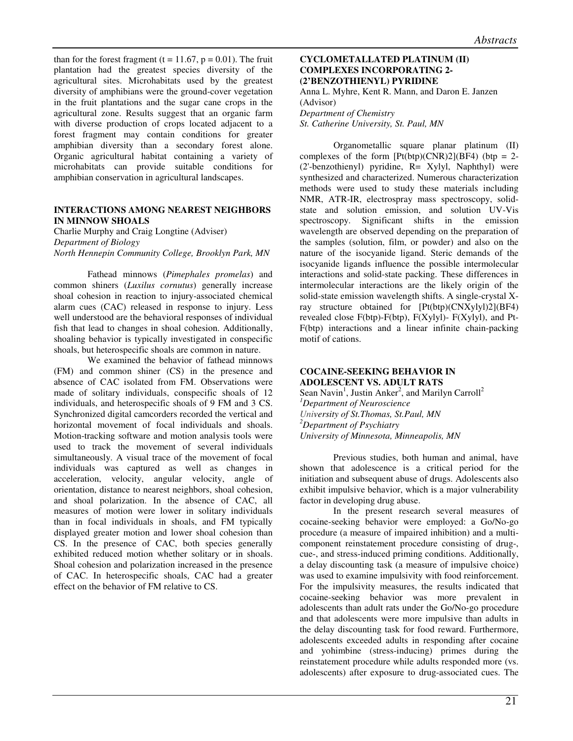than for the forest fragment ( $t = 11.67$ ,  $p = 0.01$ ). The fruit plantation had the greatest species diversity of the agricultural sites. Microhabitats used by the greatest diversity of amphibians were the ground-cover vegetation in the fruit plantations and the sugar cane crops in the agricultural zone. Results suggest that an organic farm with diverse production of crops located adjacent to a forest fragment may contain conditions for greater amphibian diversity than a secondary forest alone. Organic agricultural habitat containing a variety of microhabitats can provide suitable conditions for amphibian conservation in agricultural landscapes.

#### **INTERACTIONS AMONG NEAREST NEIGHBORS IN MINNOW SHOALS**

Charlie Murphy and Craig Longtine (Adviser) *Department of Biology North Hennepin Community College, Brooklyn Park, MN*

Fathead minnows (*Pimephales promelas*) and common shiners (*Luxilus cornutus*) generally increase shoal cohesion in reaction to injury-associated chemical alarm cues (CAC) released in response to injury. Less well understood are the behavioral responses of individual fish that lead to changes in shoal cohesion. Additionally, shoaling behavior is typically investigated in conspecific shoals, but heterospecific shoals are common in nature.

We examined the behavior of fathead minnows (FM) and common shiner (CS) in the presence and absence of CAC isolated from FM. Observations were made of solitary individuals, conspecific shoals of 12 individuals, and heterospecific shoals of 9 FM and 3 CS. Synchronized digital camcorders recorded the vertical and horizontal movement of focal individuals and shoals. Motion-tracking software and motion analysis tools were used to track the movement of several individuals simultaneously. A visual trace of the movement of focal individuals was captured as well as changes in acceleration, velocity, angular velocity, angle of orientation, distance to nearest neighbors, shoal cohesion, and shoal polarization. In the absence of CAC, all measures of motion were lower in solitary individuals than in focal individuals in shoals, and FM typically displayed greater motion and lower shoal cohesion than CS. In the presence of CAC, both species generally exhibited reduced motion whether solitary or in shoals. Shoal cohesion and polarization increased in the presence of CAC. In heterospecific shoals, CAC had a greater effect on the behavior of FM relative to CS.

# **CYCLOMETALLATED PLATINUM (II) COMPLEXES INCORPORATING 2- (2'BENZOTHIENYL) PYRIDINE**

Anna L. Myhre, Kent R. Mann, and Daron E. Janzen (Advisor) *Department of Chemistry* 

*St. Catherine University, St. Paul, MN* 

Organometallic square planar platinum (II) complexes of the form  $[Pt(btp)(CNR)2](BF4)$  (btp = 2-(2'-benzothienyl) pyridine, R= Xylyl, Naphthyl) were synthesized and characterized. Numerous characterization methods were used to study these materials including NMR, ATR-IR, electrospray mass spectroscopy, solidstate and solution emission, and solution UV-Vis spectroscopy. Significant shifts in the emission wavelength are observed depending on the preparation of the samples (solution, film, or powder) and also on the nature of the isocyanide ligand. Steric demands of the isocyanide ligands influence the possible intermolecular interactions and solid-state packing. These differences in intermolecular interactions are the likely origin of the solid-state emission wavelength shifts. A single-crystal Xray structure obtained for [Pt(btp)(CNXylyl)2](BF4) revealed close F(btp)-F(btp), F(Xylyl)- F(Xylyl), and Pt-F(btp) interactions and a linear infinite chain-packing motif of cations.

# **COCAINE-SEEKING BEHAVIOR IN ADOLESCENT VS. ADULT RATS**

Sean Navin<sup>1</sup>, Justin Anker<sup>2</sup>, and Marilyn Carroll<sup>2</sup> *<sup>1</sup>Department of Neuroscience University of St.Thomas, St.Paul, MN <sup>2</sup>Department of Psychiatry University of Minnesota, Minneapolis, MN* 

Previous studies, both human and animal, have shown that adolescence is a critical period for the initiation and subsequent abuse of drugs. Adolescents also exhibit impulsive behavior, which is a major vulnerability factor in developing drug abuse.

In the present research several measures of cocaine-seeking behavior were employed: a Go/No-go procedure (a measure of impaired inhibition) and a multicomponent reinstatement procedure consisting of drug-, cue-, and stress-induced priming conditions. Additionally, a delay discounting task (a measure of impulsive choice) was used to examine impulsivity with food reinforcement. For the impulsivity measures, the results indicated that cocaine-seeking behavior was more prevalent in adolescents than adult rats under the Go/No-go procedure and that adolescents were more impulsive than adults in the delay discounting task for food reward. Furthermore, adolescents exceeded adults in responding after cocaine and yohimbine (stress-inducing) primes during the reinstatement procedure while adults responded more (vs. adolescents) after exposure to drug-associated cues. The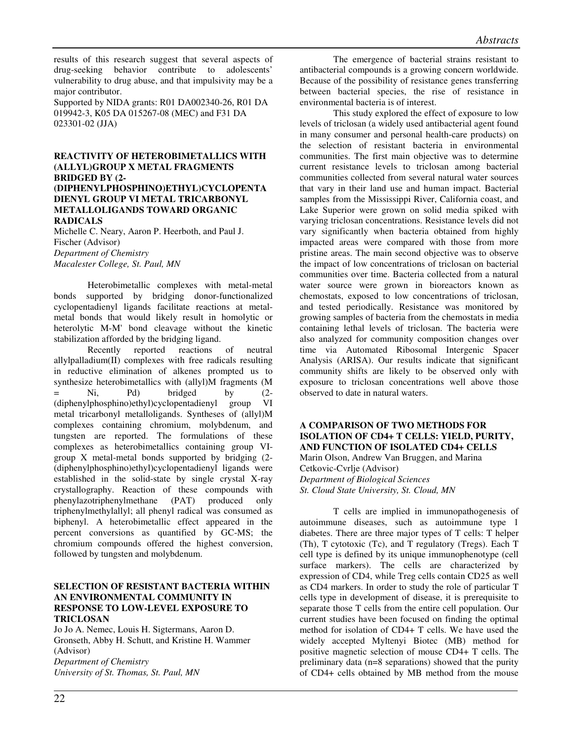results of this research suggest that several aspects of drug-seeking behavior contribute to adolescents' vulnerability to drug abuse, and that impulsivity may be a major contributor.

Supported by NIDA grants: R01 DA002340-26, R01 DA 019942-3, K05 DA 015267-08 (MEC) and F31 DA 023301-02 (JJA)

# **REACTIVITY OF HETEROBIMETALLICS WITH (ALLYL)GROUP X METAL FRAGMENTS BRIDGED BY (2-**

### **(DIPHENYLPHOSPHINO)ETHYL)CYCLOPENTA DIENYL GROUP VI METAL TRICARBONYL METALLOLIGANDS TOWARD ORGANIC RADICALS**

Michelle C. Neary, Aaron P. Heerboth, and Paul J. Fischer (Advisor) *Department of Chemistry Macalester College, St. Paul, MN* 

Heterobimetallic complexes with metal-metal bonds supported by bridging donor-functionalized cyclopentadienyl ligands facilitate reactions at metalmetal bonds that would likely result in homolytic or heterolytic M-M' bond cleavage without the kinetic stabilization afforded by the bridging ligand.

Recently reported reactions of neutral allylpalladium(II) complexes with free radicals resulting in reductive elimination of alkenes prompted us to synthesize heterobimetallics with (allyl)M fragments (M  $=$  Ni, Pd) bridged by  $(2-$ (diphenylphosphino)ethyl)cyclopentadienyl group VI metal tricarbonyl metalloligands. Syntheses of (allyl)M complexes containing chromium, molybdenum, and tungsten are reported. The formulations of these complexes as heterobimetallics containing group VIgroup X metal-metal bonds supported by bridging (2- (diphenylphosphino)ethyl)cyclopentadienyl ligands were established in the solid-state by single crystal X-ray crystallography. Reaction of these compounds with phenylazotriphenylmethane (PAT) produced only triphenylmethylallyl; all phenyl radical was consumed as biphenyl. A heterobimetallic effect appeared in the percent conversions as quantified by GC-MS; the chromium compounds offered the highest conversion, followed by tungsten and molybdenum.

# **SELECTION OF RESISTANT BACTERIA WITHIN AN ENVIRONMENTAL COMMUNITY IN RESPONSE TO LOW-LEVEL EXPOSURE TO TRICLOSAN**

Jo Jo A. Nemec, Louis H. Sigtermans, Aaron D. Gronseth, Abby H. Schutt, and Kristine H. Wammer (Advisor) *Department of Chemistry University of St. Thomas, St. Paul, MN* 

The emergence of bacterial strains resistant to antibacterial compounds is a growing concern worldwide. Because of the possibility of resistance genes transferring between bacterial species, the rise of resistance in environmental bacteria is of interest.

This study explored the effect of exposure to low levels of triclosan (a widely used antibacterial agent found in many consumer and personal health-care products) on the selection of resistant bacteria in environmental communities. The first main objective was to determine current resistance levels to triclosan among bacterial communities collected from several natural water sources that vary in their land use and human impact. Bacterial samples from the Mississippi River, California coast, and Lake Superior were grown on solid media spiked with varying triclosan concentrations. Resistance levels did not vary significantly when bacteria obtained from highly impacted areas were compared with those from more pristine areas. The main second objective was to observe the impact of low concentrations of triclosan on bacterial communities over time. Bacteria collected from a natural water source were grown in bioreactors known as chemostats, exposed to low concentrations of triclosan, and tested periodically. Resistance was monitored by growing samples of bacteria from the chemostats in media containing lethal levels of triclosan. The bacteria were also analyzed for community composition changes over time via Automated Ribosomal Intergenic Spacer Analysis (ARISA). Our results indicate that significant community shifts are likely to be observed only with exposure to triclosan concentrations well above those observed to date in natural waters.

# **A COMPARISON OF TWO METHODS FOR ISOLATION OF CD4+ T CELLS: YIELD, PURITY, AND FUNCTION OF ISOLATED CD4+ CELLS**  Marin Olson, Andrew Van Bruggen, and Marina

Cetkovic-Cvrlje (Advisor) *Department of Biological Sciences St. Cloud State University, St. Cloud, MN*

T cells are implied in immunopathogenesis of autoimmune diseases, such as autoimmune type 1 diabetes. There are three major types of T cells: T helper (Th), T cytotoxic (Tc), and T regulatory (Tregs). Each T cell type is defined by its unique immunophenotype (cell surface markers). The cells are characterized by expression of CD4, while Treg cells contain CD25 as well as CD4 markers. In order to study the role of particular T cells type in development of disease, it is prerequisite to separate those T cells from the entire cell population. Our current studies have been focused on finding the optimal method for isolation of CD4+ T cells. We have used the widely accepted Myltenyi Biotec (MB) method for positive magnetic selection of mouse CD4+ T cells. The preliminary data (n=8 separations) showed that the purity of CD4+ cells obtained by MB method from the mouse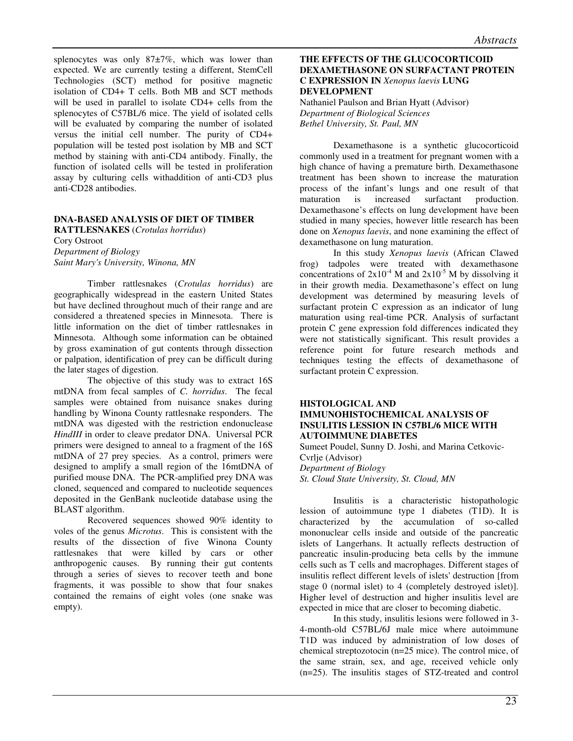splenocytes was only 87 $\pm$ 7%, which was lower than expected. We are currently testing a different, StemCell Technologies (SCT) method for positive magnetic isolation of CD4+ T cells. Both MB and SCT methods will be used in parallel to isolate CD4+ cells from the splenocytes of C57BL/6 mice. The yield of isolated cells will be evaluated by comparing the number of isolated versus the initial cell number. The purity of CD4+ population will be tested post isolation by MB and SCT method by staining with anti-CD4 antibody. Finally, the function of isolated cells will be tested in proliferation assay by culturing cells withaddition of anti-CD3 plus anti-CD28 antibodies.

# **DNA-BASED ANALYSIS OF DIET OF TIMBER**

**RATTLESNAKES** (*Crotulas horridus*)

Cory Ostroot *Department of Biology Saint Mary's University, Winona, MN* 

 Timber rattlesnakes (*Crotulas horridus*) are geographically widespread in the eastern United States but have declined throughout much of their range and are considered a threatened species in Minnesota. There is little information on the diet of timber rattlesnakes in Minnesota. Although some information can be obtained by gross examination of gut contents through dissection or palpation, identification of prey can be difficult during the later stages of digestion.

 The objective of this study was to extract 16S mtDNA from fecal samples of *C. horridus*. The fecal samples were obtained from nuisance snakes during handling by Winona County rattlesnake responders. The mtDNA was digested with the restriction endonuclease *HindIII* in order to cleave predator DNA. Universal PCR primers were designed to anneal to a fragment of the 16S mtDNA of 27 prey species. As a control, primers were designed to amplify a small region of the 16mtDNA of purified mouse DNA. The PCR-amplified prey DNA was cloned, sequenced and compared to nucleotide sequences deposited in the GenBank nucleotide database using the BLAST algorithm.

 Recovered sequences showed 90% identity to voles of the genus *Microtus*. This is consistent with the results of the dissection of five Winona County rattlesnakes that were killed by cars or other anthropogenic causes. By running their gut contents through a series of sieves to recover teeth and bone fragments, it was possible to show that four snakes contained the remains of eight voles (one snake was empty).

# **THE EFFECTS OF THE GLUCOCORTICOID DEXAMETHASONE ON SURFACTANT PROTEIN C EXPRESSION IN** *Xenopus laevis* **LUNG DEVELOPMENT**

Nathaniel Paulson and Brian Hyatt (Advisor) *Department of Biological Sciences Bethel University, St. Paul, MN* 

Dexamethasone is a synthetic glucocorticoid commonly used in a treatment for pregnant women with a high chance of having a premature birth. Dexamethasone treatment has been shown to increase the maturation process of the infant's lungs and one result of that maturation is increased surfactant production. maturation is increased surfactant production. Dexamethasone's effects on lung development have been studied in many species, however little research has been done on *Xenopus laevis*, and none examining the effect of dexamethasone on lung maturation.

In this study *Xenopus laevis* (African Clawed frog) tadpoles were treated with dexamethasone concentrations of  $2x10^{-4}$  M and  $2x10^{-5}$  M by dissolving it in their growth media. Dexamethasone's effect on lung development was determined by measuring levels of surfactant protein C expression as an indicator of lung maturation using real-time PCR. Analysis of surfactant protein C gene expression fold differences indicated they were not statistically significant. This result provides a reference point for future research methods and techniques testing the effects of dexamethasone of surfactant protein C expression.

# **HISTOLOGICAL AND IMMUNOHISTOCHEMICAL ANALYSIS OF INSULITIS LESSION IN C57BL/6 MICE WITH AUTOIMMUNE DIABETES**

Sumeet Poudel, Sunny D. Joshi, and Marina Cetkovic-Cvrlje (Advisor) *Department of Biology St. Cloud State University, St. Cloud, MN* 

Insulitis is a characteristic histopathologic lession of autoimmune type 1 diabetes (T1D). It is characterized by the accumulation of so-called mononuclear cells inside and outside of the pancreatic islets of Langerhans. It actually reflects destruction of pancreatic insulin-producing beta cells by the immune cells such as T cells and macrophages. Different stages of insulitis reflect different levels of islets' destruction [from stage 0 (normal islet) to 4 (completely destroyed islet)]. Higher level of destruction and higher insulitis level are expected in mice that are closer to becoming diabetic.

In this study, insulitis lesions were followed in 3- 4-month-old C57BL/6J male mice where autoimmune T1D was induced by administration of low doses of chemical streptozotocin (n=25 mice). The control mice, of the same strain, sex, and age, received vehicle only (n=25). The insulitis stages of STZ-treated and control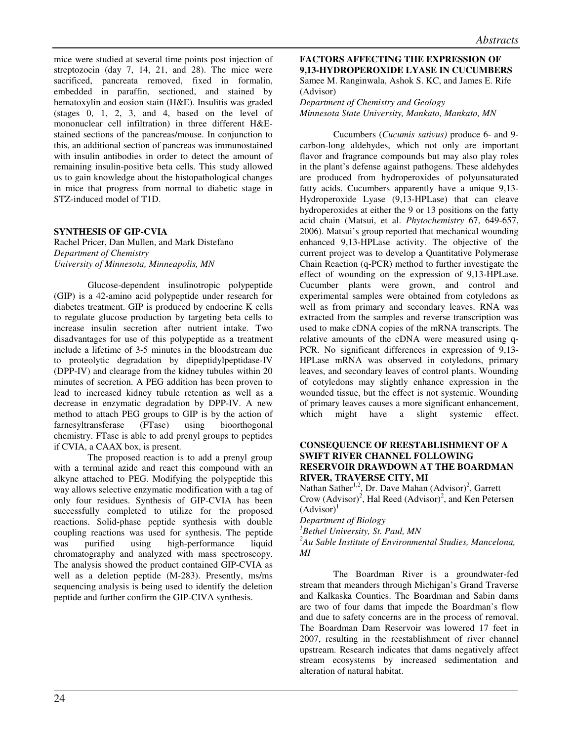mice were studied at several time points post injection of streptozocin (day 7, 14, 21, and 28). The mice were sacrificed, pancreata removed, fixed in formalin, embedded in paraffin, sectioned, and stained by hematoxylin and eosion stain (H&E). Insulitis was graded (stages 0, 1, 2, 3, and 4, based on the level of mononuclear cell infiltration) in three different H&Estained sections of the pancreas/mouse. In conjunction to this, an additional section of pancreas was immunostained with insulin antibodies in order to detect the amount of remaining insulin-positive beta cells. This study allowed us to gain knowledge about the histopathological changes in mice that progress from normal to diabetic stage in STZ-induced model of T1D.

# **SYNTHESIS OF GIP-CVIA**

Rachel Pricer, Dan Mullen, and Mark Distefano *Department of Chemistry University of Minnesota, Minneapolis, MN* 

 Glucose-dependent insulinotropic polypeptide (GIP) is a 42-amino acid polypeptide under research for diabetes treatment. GIP is produced by endocrine K cells to regulate glucose production by targeting beta cells to increase insulin secretion after nutrient intake. Two disadvantages for use of this polypeptide as a treatment include a lifetime of 3-5 minutes in the bloodstream due to proteolytic degradation by dipeptidylpeptidase-IV (DPP-IV) and clearage from the kidney tubules within 20 minutes of secretion. A PEG addition has been proven to lead to increased kidney tubule retention as well as a decrease in enzymatic degradation by DPP-IV. A new method to attach PEG groups to GIP is by the action of farnesyltransferase (FTase) using bioorthogonal chemistry. FTase is able to add prenyl groups to peptides if CVIA, a CAAX box, is present.

The proposed reaction is to add a prenyl group with a terminal azide and react this compound with an alkyne attached to PEG. Modifying the polypeptide this way allows selective enzymatic modification with a tag of only four residues. Synthesis of GIP-CVIA has been successfully completed to utilize for the proposed reactions. Solid-phase peptide synthesis with double coupling reactions was used for synthesis. The peptide was purified using high-performance liquid chromatography and analyzed with mass spectroscopy. The analysis showed the product contained GIP-CVIA as well as a deletion peptide (M-283). Presently, ms/ms sequencing analysis is being used to identify the deletion peptide and further confirm the GIP-CIVA synthesis.

#### **FACTORS AFFECTING THE EXPRESSION OF 9,13-HYDROPEROXIDE LYASE IN CUCUMBERS**  Samee M. Ranginwala, Ashok S. KC, and James E. Rife (Advisor)

# *Department of Chemistry and Geology Minnesota State University, Mankato, Mankato, MN*

Cucumbers (*Cucumis sativus)* produce 6- and 9 carbon-long aldehydes, which not only are important flavor and fragrance compounds but may also play roles in the plant's defense against pathogens. These aldehydes are produced from hydroperoxides of polyunsaturated fatty acids. Cucumbers apparently have a unique 9,13- Hydroperoxide Lyase (9,13-HPLase) that can cleave hydroperoxides at either the 9 or 13 positions on the fatty acid chain (Matsui, et al. *Phytochemistry* 67, 649-657, 2006). Matsui's group reported that mechanical wounding enhanced 9,13-HPLase activity. The objective of the current project was to develop a Quantitative Polymerase Chain Reaction (q-PCR) method to further investigate the effect of wounding on the expression of 9,13-HPLase. Cucumber plants were grown, and control and experimental samples were obtained from cotyledons as well as from primary and secondary leaves. RNA was extracted from the samples and reverse transcription was used to make cDNA copies of the mRNA transcripts. The relative amounts of the cDNA were measured using q-PCR. No significant differences in expression of 9,13- HPLase mRNA was observed in cotyledons, primary leaves, and secondary leaves of control plants. Wounding of cotyledons may slightly enhance expression in the wounded tissue, but the effect is not systemic. Wounding of primary leaves causes a more significant enhancement, which might have a slight systemic effect.

#### **CONSEQUENCE OF REESTABLISHMENT OF A SWIFT RIVER CHANNEL FOLLOWING RESERVOIR DRAWDOWN AT THE BOARDMAN RIVER, TRAVERSE CITY, MI**

Nathan Sather<sup>1,2</sup>, Dr. Dave Mahan  $(Advisor)^2$ , Garrett Crow (Advisor)<sup>2</sup>, Hal Reed (Advisor)<sup>2</sup>, and Ken Petersen  $(Advisor)<sup>1</sup>$ 

*Department of Biology* 

*<sup>1</sup>Bethel University, St. Paul, MN* 

*<sup>2</sup>Au Sable Institute of Environmental Studies, Mancelona, MI* 

The Boardman River is a groundwater-fed stream that meanders through Michigan's Grand Traverse and Kalkaska Counties. The Boardman and Sabin dams are two of four dams that impede the Boardman's flow and due to safety concerns are in the process of removal. The Boardman Dam Reservoir was lowered 17 feet in 2007, resulting in the reestablishment of river channel upstream. Research indicates that dams negatively affect stream ecosystems by increased sedimentation and alteration of natural habitat.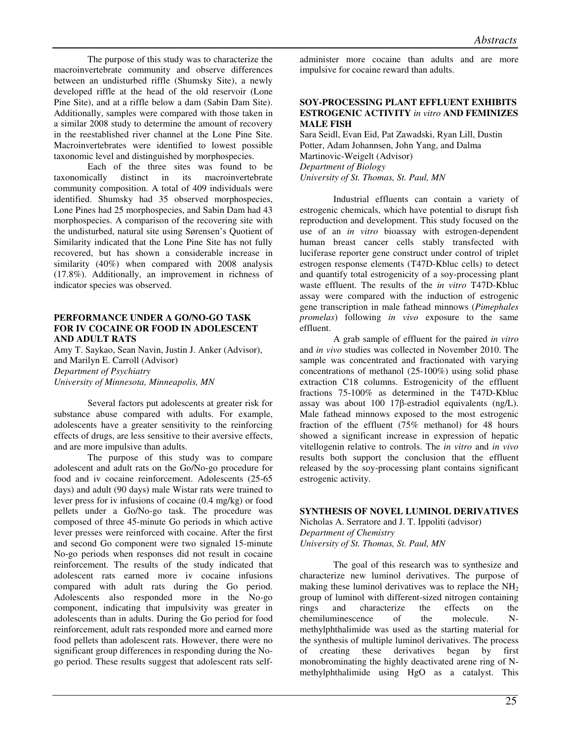The purpose of this study was to characterize the macroinvertebrate community and observe differences between an undisturbed riffle (Shumsky Site), a newly developed riffle at the head of the old reservoir (Lone Pine Site), and at a riffle below a dam (Sabin Dam Site). Additionally, samples were compared with those taken in a similar 2008 study to determine the amount of recovery in the reestablished river channel at the Lone Pine Site. Macroinvertebrates were identified to lowest possible taxonomic level and distinguished by morphospecies.

 Each of the three sites was found to be taxonomically distinct in its macroinvertebrate community composition. A total of 409 individuals were identified. Shumsky had 35 observed morphospecies, Lone Pines had 25 morphospecies, and Sabin Dam had 43 morphospecies. A comparison of the recovering site with the undisturbed, natural site using Sørensen's Quotient of Similarity indicated that the Lone Pine Site has not fully recovered, but has shown a considerable increase in similarity (40%) when compared with 2008 analysis (17.8%). Additionally, an improvement in richness of indicator species was observed.

# **PERFORMANCE UNDER A GO/NO-GO TASK FOR IV COCAINE OR FOOD IN ADOLESCENT AND ADULT RATS**

Amy T. Saykao, Sean Navin, Justin J. Anker (Advisor), and Marilyn E. Carroll (Advisor) *Department of Psychiatry University of Minnesota, Minneapolis, MN* 

Several factors put adolescents at greater risk for substance abuse compared with adults. For example, adolescents have a greater sensitivity to the reinforcing effects of drugs, are less sensitive to their aversive effects, and are more impulsive than adults.

The purpose of this study was to compare adolescent and adult rats on the Go/No-go procedure for food and iv cocaine reinforcement. Adolescents (25-65 days) and adult (90 days) male Wistar rats were trained to lever press for iv infusions of cocaine (0.4 mg/kg) or food pellets under a Go/No-go task. The procedure was composed of three 45-minute Go periods in which active lever presses were reinforced with cocaine. After the first and second Go component were two signaled 15-minute No-go periods when responses did not result in cocaine reinforcement. The results of the study indicated that adolescent rats earned more iv cocaine infusions compared with adult rats during the Go period. Adolescents also responded more in the No-go component, indicating that impulsivity was greater in adolescents than in adults. During the Go period for food reinforcement, adult rats responded more and earned more food pellets than adolescent rats. However, there were no significant group differences in responding during the Nogo period. These results suggest that adolescent rats selfadminister more cocaine than adults and are more impulsive for cocaine reward than adults.

#### **SOY-PROCESSING PLANT EFFLUENT EXHIBITS ESTROGENIC ACTIVITY** *in vitro* **AND FEMINIZES MALE FISH**

Sara Seidl, Evan Eid, Pat Zawadski, Ryan Lill, Dustin Potter, Adam Johannsen, John Yang, and Dalma Martinovic-Weigelt (Advisor) *Department of Biology University of St. Thomas, St. Paul, MN* 

Industrial effluents can contain a variety of estrogenic chemicals, which have potential to disrupt fish reproduction and development. This study focused on the use of an *in vitro* bioassay with estrogen-dependent human breast cancer cells stably transfected with luciferase reporter gene construct under control of triplet estrogen response elements (T47D-Kbluc cells) to detect and quantify total estrogenicity of a soy-processing plant waste effluent. The results of the *in vitro* T47D-Kbluc assay were compared with the induction of estrogenic gene transcription in male fathead minnows (*Pimephales promelas*) following *in vivo* exposure to the same effluent.

A grab sample of effluent for the paired *in vitro* and *in vivo* studies was collected in November 2010. The sample was concentrated and fractionated with varying concentrations of methanol (25-100%) using solid phase extraction C18 columns. Estrogenicity of the effluent fractions 75-100% as determined in the T47D-Kbluc assay was about 100 17β-estradiol equivalents (ng/L). Male fathead minnows exposed to the most estrogenic fraction of the effluent (75% methanol) for 48 hours showed a significant increase in expression of hepatic vitellogenin relative to controls. The *in vitro* and *in vivo* results both support the conclusion that the effluent released by the soy-processing plant contains significant estrogenic activity.

# **SYNTHESIS OF NOVEL LUMINOL DERIVATIVES**

Nicholas A. Serratore and J. T. Ippoliti (advisor) *Department of Chemistry University of St. Thomas, St. Paul, MN* 

The goal of this research was to synthesize and characterize new luminol derivatives. The purpose of making these luminol derivatives was to replace the  $NH<sub>2</sub>$ group of luminol with different-sized nitrogen containing rings and characterize the effects on the chemiluminescence of the molecule. Nmethylphthalimide was used as the starting material for the synthesis of multiple luminol derivatives. The process of creating these derivatives began by first monobrominating the highly deactivated arene ring of Nmethylphthalimide using HgO as a catalyst. This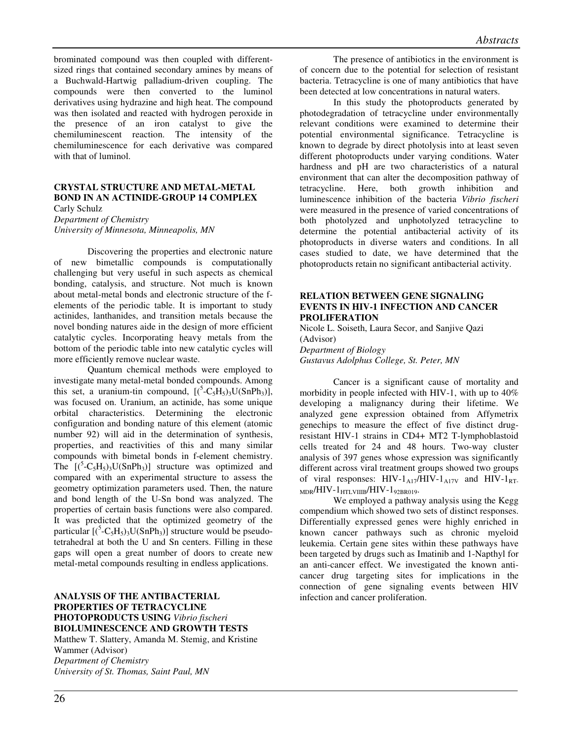brominated compound was then coupled with differentsized rings that contained secondary amines by means of a Buchwald-Hartwig palladium-driven coupling. The compounds were then converted to the luminol derivatives using hydrazine and high heat. The compound was then isolated and reacted with hydrogen peroxide in the presence of an iron catalyst to give the chemiluminescent reaction. The intensity of the chemiluminescence for each derivative was compared with that of luminol.

# **CRYSTAL STRUCTURE AND METAL-METAL BOND IN AN ACTINIDE-GROUP 14 COMPLEX**

Carly Schulz

*Department of Chemistry University of Minnesota, Minneapolis, MN* 

Discovering the properties and electronic nature of new bimetallic compounds is computationally challenging but very useful in such aspects as chemical bonding, catalysis, and structure. Not much is known about metal-metal bonds and electronic structure of the felements of the periodic table. It is important to study actinides, lanthanides, and transition metals because the novel bonding natures aide in the design of more efficient catalytic cycles. Incorporating heavy metals from the bottom of the periodic table into new catalytic cycles will more efficiently remove nuclear waste.

Quantum chemical methods were employed to investigate many metal-metal bonded compounds. Among this set, a uranium-tin compound,  $[(<sup>5</sup>-C<sub>5</sub>H<sub>5</sub>)<sub>3</sub>U(SnPh<sub>3</sub>)],$ was focused on. Uranium, an actinide, has some unique orbital characteristics. Determining the electronic configuration and bonding nature of this element (atomic number 92) will aid in the determination of synthesis, properties, and reactivities of this and many similar compounds with bimetal bonds in f-element chemistry. The  $[(5-C_5H_5)_3U(SnPh_3)]$  structure was optimized and compared with an experimental structure to assess the geometry optimization parameters used. Then, the nature and bond length of the U-Sn bond was analyzed. The properties of certain basis functions were also compared. It was predicted that the optimized geometry of the particular  $[(5-C_5H_5)_3U(SnPh_3)]$  structure would be pseudotetrahedral at both the U and Sn centers. Filling in these gaps will open a great number of doors to create new metal-metal compounds resulting in endless applications.

**ANALYSIS OF THE ANTIBACTERIAL PROPERTIES OF TETRACYCLINE PHOTOPRODUCTS USING** *Vibrio fischeri* **BIOLUMINESCENCE AND GROWTH TESTS** Matthew T. Slattery, Amanda M. Stemig, and Kristine Wammer (Advisor) *Department of Chemistry University of St. Thomas, Saint Paul, MN* 

The presence of antibiotics in the environment is of concern due to the potential for selection of resistant bacteria. Tetracycline is one of many antibiotics that have been detected at low concentrations in natural waters.

In this study the photoproducts generated by photodegradation of tetracycline under environmentally relevant conditions were examined to determine their potential environmental significance. Tetracycline is known to degrade by direct photolysis into at least seven different photoproducts under varying conditions. Water hardness and pH are two characteristics of a natural environment that can alter the decomposition pathway of tetracycline. Here, both growth inhibition and luminescence inhibition of the bacteria *Vibrio fischeri* were measured in the presence of varied concentrations of both photolyzed and unphotolyzed tetracycline to determine the potential antibacterial activity of its photoproducts in diverse waters and conditions. In all cases studied to date, we have determined that the photoproducts retain no significant antibacterial activity.

# **RELATION BETWEEN GENE SIGNALING EVENTS IN HIV-1 INFECTION AND CANCER PROLIFERATION**

Nicole L. Soiseth, Laura Secor, and Sanjive Qazi (Advisor)

*Department of Biology* 

*Gustavus Adolphus College, St. Peter, MN* 

Cancer is a significant cause of mortality and morbidity in people infected with HIV-1, with up to 40% developing a malignancy during their lifetime. We analyzed gene expression obtained from Affymetrix genechips to measure the effect of five distinct drugresistant HIV-1 strains in CD4+ MT2 T-lymphoblastoid cells treated for 24 and 48 hours. Two-way cluster analysis of 397 genes whose expression was significantly different across viral treatment groups showed two groups of viral responses:  $HIV-1_{A17}/HIV-1_{A17V}$  and  $HIV-1_{RT}$  $MDR/HIV-1$ HTLVIIIB $/HIV-1$ 92BR019.

We employed a pathway analysis using the Kegg compendium which showed two sets of distinct responses. Differentially expressed genes were highly enriched in known cancer pathways such as chronic myeloid leukemia. Certain gene sites within these pathways have been targeted by drugs such as Imatinib and 1-Napthyl for an anti-cancer effect. We investigated the known anticancer drug targeting sites for implications in the connection of gene signaling events between HIV infection and cancer proliferation.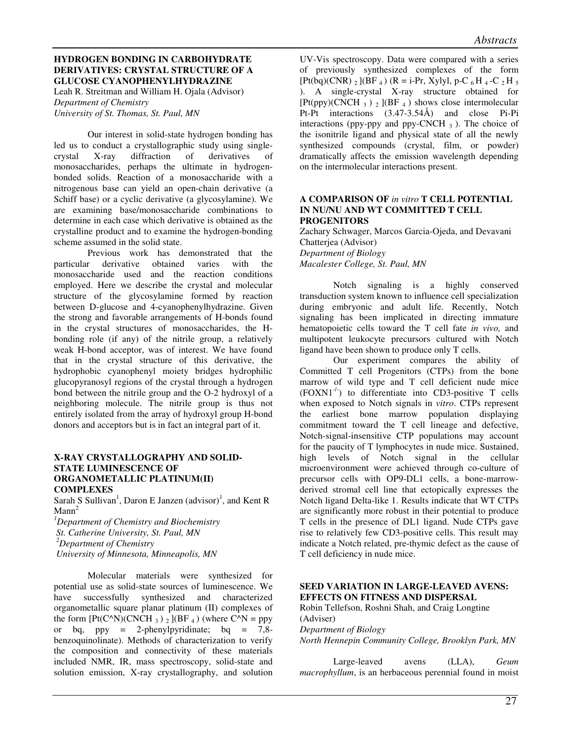# **HYDROGEN BONDING IN CARBOHYDRATE DERIVATIVES: CRYSTAL STRUCTURE OF A GLUCOSE CYANOPHENYLHYDRAZINE**

Leah R. Streitman and William H. Ojala (Advisor) *Department of Chemistry University of St. Thomas, St. Paul, MN* 

 Our interest in solid-state hydrogen bonding has led us to conduct a crystallographic study using singlecrystal X-ray diffraction of derivatives of monosaccharides, perhaps the ultimate in hydrogenbonded solids. Reaction of a monosaccharide with a nitrogenous base can yield an open-chain derivative (a Schiff base) or a cyclic derivative (a glycosylamine). We are examining base/monosaccharide combinations to determine in each case which derivative is obtained as the crystalline product and to examine the hydrogen-bonding scheme assumed in the solid state.

Previous work has demonstrated that the particular derivative obtained varies with the monosaccharide used and the reaction conditions employed. Here we describe the crystal and molecular structure of the glycosylamine formed by reaction between D-glucose and 4-cyanophenylhydrazine. Given the strong and favorable arrangements of H-bonds found in the crystal structures of monosaccharides, the Hbonding role (if any) of the nitrile group, a relatively weak H-bond acceptor, was of interest. We have found that in the crystal structure of this derivative, the hydrophobic cyanophenyl moiety bridges hydrophilic glucopyranosyl regions of the crystal through a hydrogen bond between the nitrile group and the O-2 hydroxyl of a neighboring molecule. The nitrile group is thus not entirely isolated from the array of hydroxyl group H-bond donors and acceptors but is in fact an integral part of it.

#### **X-RAY CRYSTALLOGRAPHY AND SOLID-STATE LUMINESCENCE OF ORGANOMETALLIC PLATINUM(II) COMPLEXES**

Sarah S Sullivan<sup>1</sup>, Daron E Janzen (advisor)<sup>1</sup>, and Kent R  $M$ ann<sup>2</sup>

*<sup>1</sup>Department of Chemistry and Biochemistry St. Catherine University, St. Paul, MN <sup>2</sup>Department of Chemistry* 

 *University of Minnesota, Minneapolis, MN*

 Molecular materials were synthesized for potential use as solid-state sources of luminescence. We have successfully synthesized and characterized organometallic square planar platinum (II) complexes of the form  $[Pt(C^AN)(CNCH_3)$  2  $](BF_4)$  (where C<sup> $\wedge$ </sup>N = ppy or bq,  $ppy = 2$ -phenylpyridinate; bq = 7,8benzoquinolinate). Methods of characterization to verify the composition and connectivity of these materials included NMR, IR, mass spectroscopy, solid-state and solution emission, X-ray crystallography, and solution

UV-Vis spectroscopy. Data were compared with a series of previously synthesized complexes of the form  $[Pt(bq)(CNR)$  2  $[(BF_4) (R = i-Pr, Xylyl, p-C_6H_4-C_2H_5]$ ). A single-crystal X-ray structure obtained for  $[Pt(pp)(CNCH_3)$  2  $](BF_4)$  shows close intermolecular Pt-Pt interactions (3.47-3.54Å) and close Pi-Pi interactions (ppy-ppy and ppy-CNCH  $_3$ ). The choice of the isonitrile ligand and physical state of all the newly synthesized compounds (crystal, film, or powder) dramatically affects the emission wavelength depending on the intermolecular interactions present.

#### **A COMPARISON OF** *in vitro* **T CELL POTENTIAL IN NU/NU AND WT COMMITTED T CELL PROGENITORS**

Zachary Schwager, Marcos Garcia-Ojeda, and Devavani Chatterjea (Advisor) *Department of Biology Macalester College, St. Paul, MN* 

Notch signaling is a highly conserved transduction system known to influence cell specialization during embryonic and adult life. Recently, Notch signaling has been implicated in directing immature hematopoietic cells toward the T cell fate *in vivo,* and multipotent leukocyte precursors cultured with Notch ligand have been shown to produce only T cells.

Our experiment compares the ability of Committed T cell Progenitors (CTPs) from the bone marrow of wild type and T cell deficient nude mice  $(FONN1^{-1})$  to differentiate into CD3-positive T cells when exposed to Notch signals in *vitro*. CTPs represent the earliest bone marrow population displaying commitment toward the T cell lineage and defective, Notch-signal-insensitive CTP populations may account for the paucity of T lymphocytes in nude mice. Sustained, high levels of Notch signal in the cellular microenvironment were achieved through co-culture of precursor cells with OP9-DL1 cells, a bone-marrowderived stromal cell line that ectopically expresses the Notch ligand Delta-like 1. Results indicate that WT CTPs are significantly more robust in their potential to produce T cells in the presence of DL1 ligand. Nude CTPs gave rise to relatively few CD3-positive cells. This result may indicate a Notch related, pre-thymic defect as the cause of T cell deficiency in nude mice.

# **SEED VARIATION IN LARGE-LEAVED AVENS: EFFECTS ON FITNESS AND DISPERSAL**

Robin Tellefson, Roshni Shah, and Craig Longtine (Adviser) *Department of Biology North Hennepin Community College, Brooklyn Park, MN*

Large-leaved avens (LLA), *Geum macrophyllum*, is an herbaceous perennial found in moist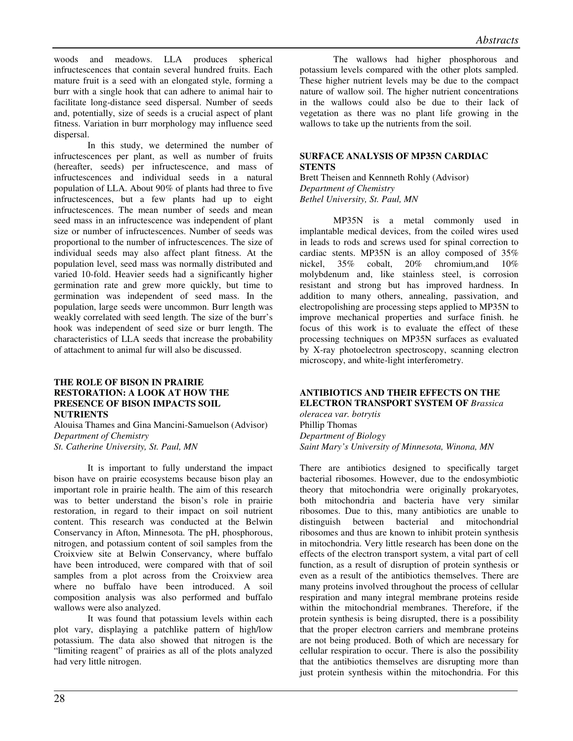woods and meadows. LLA produces spherical infructescences that contain several hundred fruits. Each mature fruit is a seed with an elongated style, forming a burr with a single hook that can adhere to animal hair to facilitate long-distance seed dispersal. Number of seeds and, potentially, size of seeds is a crucial aspect of plant fitness. Variation in burr morphology may influence seed dispersal.

In this study, we determined the number of infructescences per plant, as well as number of fruits (hereafter, seeds) per infructescence, and mass of infructescences and individual seeds in a natural population of LLA. About 90% of plants had three to five infructescences, but a few plants had up to eight infructescences. The mean number of seeds and mean seed mass in an infructescence was independent of plant size or number of infructescences. Number of seeds was proportional to the number of infructescences. The size of individual seeds may also affect plant fitness. At the population level, seed mass was normally distributed and varied 10-fold. Heavier seeds had a significantly higher germination rate and grew more quickly, but time to germination was independent of seed mass. In the population, large seeds were uncommon. Burr length was weakly correlated with seed length. The size of the burr's hook was independent of seed size or burr length. The characteristics of LLA seeds that increase the probability of attachment to animal fur will also be discussed.

#### **THE ROLE OF BISON IN PRAIRIE RESTORATION: A LOOK AT HOW THE PRESENCE OF BISON IMPACTS SOIL NUTRIENTS**

Alouisa Thames and Gina Mancini-Samuelson (Advisor) *Department of Chemistry St. Catherine University, St. Paul, MN* 

It is important to fully understand the impact bison have on prairie ecosystems because bison play an important role in prairie health. The aim of this research was to better understand the bison's role in prairie restoration, in regard to their impact on soil nutrient content. This research was conducted at the Belwin Conservancy in Afton, Minnesota. The pH, phosphorous, nitrogen, and potassium content of soil samples from the Croixview site at Belwin Conservancy, where buffalo have been introduced, were compared with that of soil samples from a plot across from the Croixview area where no buffalo have been introduced. A soil composition analysis was also performed and buffalo wallows were also analyzed.

It was found that potassium levels within each plot vary, displaying a patchlike pattern of high/low potassium. The data also showed that nitrogen is the "limiting reagent" of prairies as all of the plots analyzed had very little nitrogen.

The wallows had higher phosphorous and potassium levels compared with the other plots sampled. These higher nutrient levels may be due to the compact nature of wallow soil. The higher nutrient concentrations in the wallows could also be due to their lack of vegetation as there was no plant life growing in the wallows to take up the nutrients from the soil.

# **SURFACE ANALYSIS OF MP35N CARDIAC STENTS**

Brett Theisen and Kennneth Rohly (Advisor) *Department of Chemistry Bethel University, St. Paul, MN* 

MP35N is a metal commonly used in implantable medical devices, from the coiled wires used in leads to rods and screws used for spinal correction to cardiac stents. MP35N is an alloy composed of 35% nickel, 35% cobalt, 20% chromium,and 10% molybdenum and, like stainless steel, is corrosion resistant and strong but has improved hardness. In addition to many others, annealing, passivation, and electropolishing are processing steps applied to MP35N to improve mechanical properties and surface finish. he focus of this work is to evaluate the effect of these processing techniques on MP35N surfaces as evaluated by X-ray photoelectron spectroscopy, scanning electron microscopy, and white-light interferometry.

# **ANTIBIOTICS AND THEIR EFFECTS ON THE ELECTRON TRANSPORT SYSTEM OF** *Brassica*

*oleracea var. botrytis* Phillip Thomas *Department of Biology Saint Mary's University of Minnesota, Winona, MN*

There are antibiotics designed to specifically target bacterial ribosomes. However, due to the endosymbiotic theory that mitochondria were originally prokaryotes, both mitochondria and bacteria have very similar ribosomes. Due to this, many antibiotics are unable to distinguish between bacterial and mitochondrial ribosomes and thus are known to inhibit protein synthesis in mitochondria. Very little research has been done on the effects of the electron transport system, a vital part of cell function, as a result of disruption of protein synthesis or even as a result of the antibiotics themselves. There are many proteins involved throughout the process of cellular respiration and many integral membrane proteins reside within the mitochondrial membranes. Therefore, if the protein synthesis is being disrupted, there is a possibility that the proper electron carriers and membrane proteins are not being produced. Both of which are necessary for cellular respiration to occur. There is also the possibility that the antibiotics themselves are disrupting more than just protein synthesis within the mitochondria. For this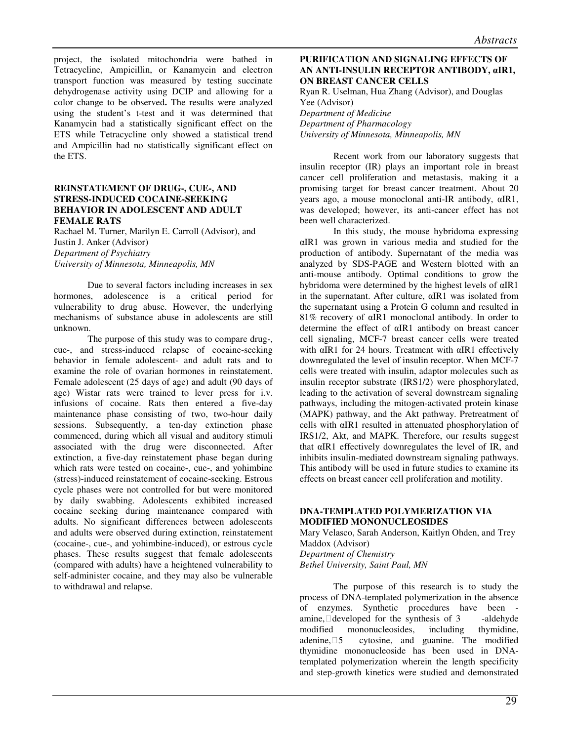project, the isolated mitochondria were bathed in Tetracycline, Ampicillin, or Kanamycin and electron transport function was measured by testing succinate dehydrogenase activity using DCIP and allowing for a color change to be observed**.** The results were analyzed using the student's t-test and it was determined that Kanamycin had a statistically significant effect on the ETS while Tetracycline only showed a statistical trend and Ampicillin had no statistically significant effect on the ETS.

#### **REINSTATEMENT OF DRUG-, CUE-, AND STRESS-INDUCED COCAINE-SEEKING BEHAVIOR IN ADOLESCENT AND ADULT FEMALE RATS**

Rachael M. Turner, Marilyn E. Carroll (Advisor), and Justin J. Anker (Advisor) *Department of Psychiatry University of Minnesota, Minneapolis, MN*

Due to several factors including increases in sex hormones, adolescence is a critical period for vulnerability to drug abuse. However, the underlying mechanisms of substance abuse in adolescents are still unknown.

The purpose of this study was to compare drug-, cue-, and stress-induced relapse of cocaine-seeking behavior in female adolescent- and adult rats and to examine the role of ovarian hormones in reinstatement. Female adolescent (25 days of age) and adult (90 days of age) Wistar rats were trained to lever press for i.v. infusions of cocaine. Rats then entered a five-day maintenance phase consisting of two, two-hour daily sessions. Subsequently, a ten-day extinction phase commenced, during which all visual and auditory stimuli associated with the drug were disconnected. After extinction, a five-day reinstatement phase began during which rats were tested on cocaine-, cue-, and yohimbine (stress)-induced reinstatement of cocaine-seeking. Estrous cycle phases were not controlled for but were monitored by daily swabbing. Adolescents exhibited increased cocaine seeking during maintenance compared with adults. No significant differences between adolescents and adults were observed during extinction, reinstatement (cocaine-, cue-, and yohimbine-induced), or estrous cycle phases. These results suggest that female adolescents (compared with adults) have a heightened vulnerability to self-administer cocaine, and they may also be vulnerable to withdrawal and relapse.

# **PURIFICATION AND SIGNALING EFFECTS OF AN ANTI-INSULIN RECEPTOR ANTIBODY,** α**IR1, ON BREAST CANCER CELLS**

Ryan R. Uselman, Hua Zhang (Advisor), and Douglas Yee (Advisor) *Department of Medicine Department of Pharmacology University of Minnesota, Minneapolis, MN* 

Recent work from our laboratory suggests that insulin receptor (IR) plays an important role in breast cancer cell proliferation and metastasis, making it a promising target for breast cancer treatment. About 20 years ago, a mouse monoclonal anti-IR antibody, αIR1, was developed; however, its anti-cancer effect has not been well characterized.

 In this study, the mouse hybridoma expressing αIR1 was grown in various media and studied for the production of antibody. Supernatant of the media was analyzed by SDS-PAGE and Western blotted with an anti-mouse antibody. Optimal conditions to grow the hybridoma were determined by the highest levels of αIR1 in the supernatant. After culture, αIR1 was isolated from the supernatant using a Protein G column and resulted in 81% recovery of αIR1 monoclonal antibody. In order to determine the effect of αIR1 antibody on breast cancer cell signaling, MCF-7 breast cancer cells were treated with αIR1 for 24 hours. Treatment with αIR1 effectively downregulated the level of insulin receptor. When MCF-7 cells were treated with insulin, adaptor molecules such as insulin receptor substrate (IRS1/2) were phosphorylated, leading to the activation of several downstream signaling pathways, including the mitogen-activated protein kinase (MAPK) pathway, and the Akt pathway. Pretreatment of cells with αIR1 resulted in attenuated phosphorylation of IRS1/2, Akt, and MAPK. Therefore, our results suggest that αIR1 effectively downregulates the level of IR, and inhibits insulin-mediated downstream signaling pathways. This antibody will be used in future studies to examine its effects on breast cancer cell proliferation and motility.

# **DNA-TEMPLATED POLYMERIZATION VIA MODIFIED MONONUCLEOSIDES**

Mary Velasco, Sarah Anderson, Kaitlyn Ohden, and Trey Maddox (Advisor) *Department of Chemistry Bethel University, Saint Paul, MN* 

The purpose of this research is to study the process of DNA-templated polymerization in the absence of enzymes. Synthetic procedures have been amine, $\Box$ developed for the synthesis of 3 -aldehyde modified mononucleosides, including thymidine, adenine,  $\Box 5$  cytosine, and guanine. The modified thymidine mononucleoside has been used in DNAtemplated polymerization wherein the length specificity and step-growth kinetics were studied and demonstrated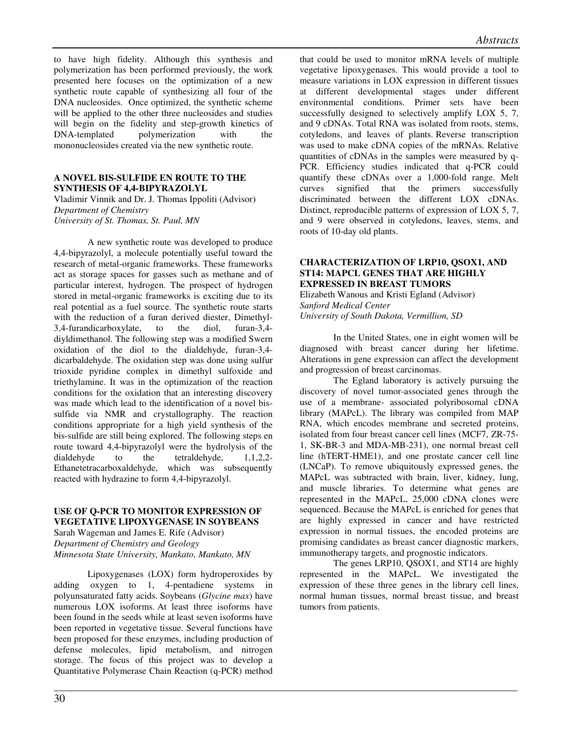to have high fidelity. Although this synthesis and polymerization has been performed previously, the work presented here focuses on the optimization of a new synthetic route capable of synthesizing all four of the DNA nucleosides. Once optimized, the synthetic scheme will be applied to the other three nucleosides and studies will begin on the fidelity and step-growth kinetics of DNA-templated polymerization with the mononucleosides created via the new synthetic route.

#### **A NOVEL BIS-SULFIDE EN ROUTE TO THE SYNTHESIS OF 4,4-BIPYRAZOLYL**

Vladimir Vinnik and Dr. J. Thomas Ippoliti (Advisor) *Department of Chemistry University of St. Thomas, St. Paul, MN* 

 A new synthetic route was developed to produce 4,4-bipyrazolyl, a molecule potentially useful toward the research of metal-organic frameworks. These frameworks act as storage spaces for gasses such as methane and of particular interest, hydrogen. The prospect of hydrogen stored in metal-organic frameworks is exciting due to its real potential as a fuel source. The synthetic route starts with the reduction of a furan derived diester, Dimethyl-3,4-furandicarboxylate, to the diol, furan-3,4 diyldimethanol. The following step was a modified Swern oxidation of the diol to the dialdehyde, furan-3,4 dicarbaldehyde. The oxidation step was done using sulfur trioxide pyridine complex in dimethyl sulfoxide and triethylamine. It was in the optimization of the reaction conditions for the oxidation that an interesting discovery was made which lead to the identification of a novel bissulfide via NMR and crystallography. The reaction conditions appropriate for a high yield synthesis of the bis-sulfide are still being explored. The following steps en route toward 4,4-bipyrazolyl were the hydrolysis of the dialdehyde to the tetraldehyde,  $1,1,2,2$ -Ethanetetracarboxaldehyde, which was subsequently reacted with hydrazine to form 4,4-bipyrazolyl.

# **USE OF Q-PCR TO MONITOR EXPRESSION OF VEGETATIVE LIPOXYGENASE IN SOYBEANS**

Sarah Wageman and James E. Rife (Advisor) *Department of Chemistry and Geology Minnesota State University, Mankato, Mankato, MN*

Lipoxygenases (LOX) form hydroperoxides by adding oxygen to 1, 4-pentadiene systems in polyunsaturated fatty acids. Soybeans (*Glycine max*) have numerous LOX isoforms. At least three isoforms have been found in the seeds while at least seven isoforms have been reported in vegetative tissue. Several functions have been proposed for these enzymes, including production of defense molecules, lipid metabolism, and nitrogen storage. The focus of this project was to develop a Quantitative Polymerase Chain Reaction (q-PCR) method

that could be used to monitor mRNA levels of multiple vegetative lipoxygenases. This would provide a tool to measure variations in LOX expression in different tissues at different developmental stages under different environmental conditions. Primer sets have been successfully designed to selectively amplify LOX 5, 7, and 9 cDNAs. Total RNA was isolated from roots, stems, cotyledons, and leaves of plants. Reverse transcription was used to make cDNA copies of the mRNAs. Relative quantities of cDNAs in the samples were measured by q-PCR. Efficiency studies indicated that q-PCR could quantify these cDNAs over a 1,000-fold range. Melt curves signified that the primers successfully discriminated between the different LOX cDNAs. Distinct, reproducible patterns of expression of LOX 5, 7, and 9 were observed in cotyledons, leaves, stems, and roots of 10-day old plants.

# **CHARACTERIZATION OF LRP10, QSOX1, AND ST14: MAPCL GENES THAT ARE HIGHLY EXPRESSED IN BREAST TUMORS**

Elizabeth Wanous and Kristi Egland (Advisor) *Sanford Medical Center University of South Dakota, Vermillion, SD* 

In the United States, one in eight women will be diagnosed with breast cancer during her lifetime. Alterations in gene expression can affect the development and progression of breast carcinomas.

The Egland laboratory is actively pursuing the discovery of novel tumor-associated genes through the use of a membrane- associated polyribosomal cDNA library (MAPcL). The library was compiled from MAP RNA, which encodes membrane and secreted proteins, isolated from four breast cancer cell lines (MCF7, ZR-75- 1, SK-BR-3 and MDA-MB-231), one normal breast cell line (hTERT-HME1), and one prostate cancer cell line (LNCaP). To remove ubiquitously expressed genes, the MAPcL was subtracted with brain, liver, kidney, lung, and muscle libraries. To determine what genes are represented in the MAPcL, 25,000 cDNA clones were sequenced. Because the MAPcL is enriched for genes that are highly expressed in cancer and have restricted expression in normal tissues, the encoded proteins are promising candidates as breast cancer diagnostic markers, immunotherapy targets, and prognostic indicators.

The genes LRP10, QSOX1, and ST14 are highly represented in the MAPcL. We investigated the expression of these three genes in the library cell lines, normal human tissues, normal breast tissue, and breast tumors from patients.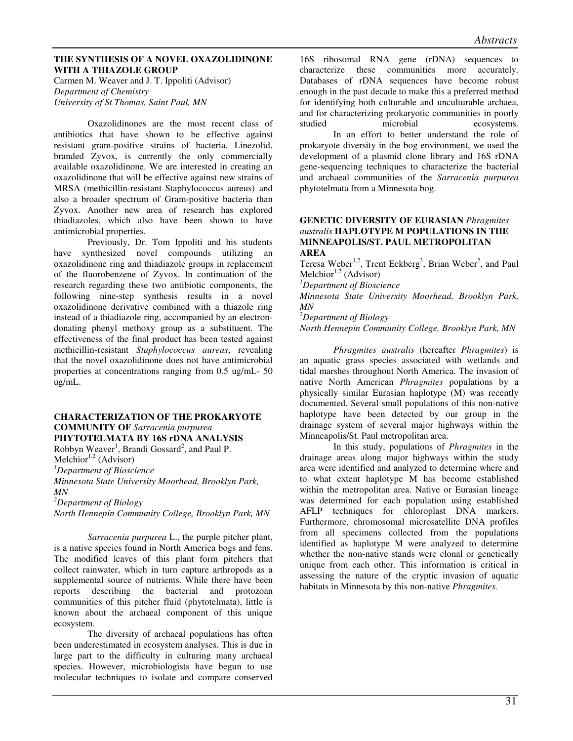#### **THE SYNTHESIS OF A NOVEL OXAZOLIDINONE WITH A THIAZOLE GROUP**

Carmen M. Weaver and J. T. Ippoliti (Advisor) *Department of Chemistry University of St Thomas, Saint Paul, MN* 

Oxazolidinones are the most recent class of antibiotics that have shown to be effective against resistant gram-positive strains of bacteria. Linezolid, branded Zyvox, is currently the only commercially available oxazolidinone. We are interested in creating an oxazolidinone that will be effective against new strains of MRSA (methicillin-resistant Staphylococcus aureus) and also a broader spectrum of Gram-positive bacteria than Zyvox. Another new area of research has explored thiadiazoles, which also have been shown to have antimicrobial properties.

Previously, Dr. Tom Ippoliti and his students have synthesized novel compounds utilizing an oxazolidinone ring and thiadiazole groups in replacement of the fluorobenzene of Zyvox. In continuation of the research regarding these two antibiotic components, the following nine-step synthesis results in a novel oxazolidinone derivative combined with a thiazole ring instead of a thiadiazole ring, accompanied by an electrondonating phenyl methoxy group as a substituent. The effectiveness of the final product has been tested against methicillin-resistant *Staphylococcus aureus*, revealing that the novel oxazolidinone does not have antimicrobial properties at concentrations ranging from 0.5 ug/mL- 50 ug/mL.

# **CHARACTERIZATION OF THE PROKARYOTE COMMUNITY OF** *Sarracenia purpurea*

**PHYTOTELMATA BY 16S rDNA ANALYSIS** 

Robbyn Weaver<sup>1</sup>, Brandi Gossard<sup>2</sup>, and Paul P. Melchior<sup>1,2</sup> (Advisor)

*<sup>1</sup>Department of Bioscience* 

*Minnesota State University Moorhead, Brooklyn Park, MN* 

*<sup>2</sup>Department of Biology* 

*North Hennepin Community College, Brooklyn Park, MN*

*Sarracenia purpurea* L., the purple pitcher plant, is a native species found in North America bogs and fens. The modified leaves of this plant form pitchers that collect rainwater, which in turn capture arthropods as a supplemental source of nutrients. While there have been reports describing the bacterial and protozoan communities of this pitcher fluid (phytotelmata), little is known about the archaeal component of this unique ecosystem.

 The diversity of archaeal populations has often been underestimated in ecosystem analyses. This is due in large part to the difficulty in culturing many archaeal species. However, microbiologists have begun to use molecular techniques to isolate and compare conserved

16S ribosomal RNA gene (rDNA) sequences to characterize these communities more accurately. Databases of rDNA sequences have become robust enough in the past decade to make this a preferred method for identifying both culturable and unculturable archaea, and for characterizing prokaryotic communities in poorly studied microbial ecosystems. In an effort to better understand the role of prokaryote diversity in the bog environment, we used the development of a plasmid clone library and 16S rDNA gene-sequencing techniques to characterize the bacterial and archaeal communities of the *Sarracenia purpurea* phytotelmata from a Minnesota bog.

#### **GENETIC DIVERSITY OF EURASIAN** *Phragmites australis* **HAPLOTYPE M POPULATIONS IN THE MINNEAPOLIS/ST. PAUL METROPOLITAN AREA**

Teresa Weber<sup>1,2</sup>, Trent Eckberg<sup>2</sup>, Brian Weber<sup>2</sup>, and Paul Melchior<sup>1,2</sup> (Advisor)

*<sup>1</sup>Department of Bioscience* 

*Minnesota State University Moorhead, Brooklyn Park, MN* 

*<sup>2</sup>Department of Biology* 

*North Hennepin Community College, Brooklyn Park, MN*

*Phragmites australis* (hereafter *Phragmites*) is an aquatic grass species associated with wetlands and tidal marshes throughout North America. The invasion of native North American *Phragmites* populations by a physically similar Eurasian haplotype (M) was recently documented. Several small populations of this non-native haplotype have been detected by our group in the drainage system of several major highways within the Minneapolis/St. Paul metropolitan area.

In this study, populations of *Phragmites* in the drainage areas along major highways within the study area were identified and analyzed to determine where and to what extent haplotype M has become established within the metropolitan area. Native or Eurasian lineage was determined for each population using established AFLP techniques for chloroplast DNA markers. Furthermore, chromosomal microsatellite DNA profiles from all specimens collected from the populations identified as haplotype M were analyzed to determine whether the non-native stands were clonal or genetically unique from each other. This information is critical in assessing the nature of the cryptic invasion of aquatic habitats in Minnesota by this non-native *Phragmites.*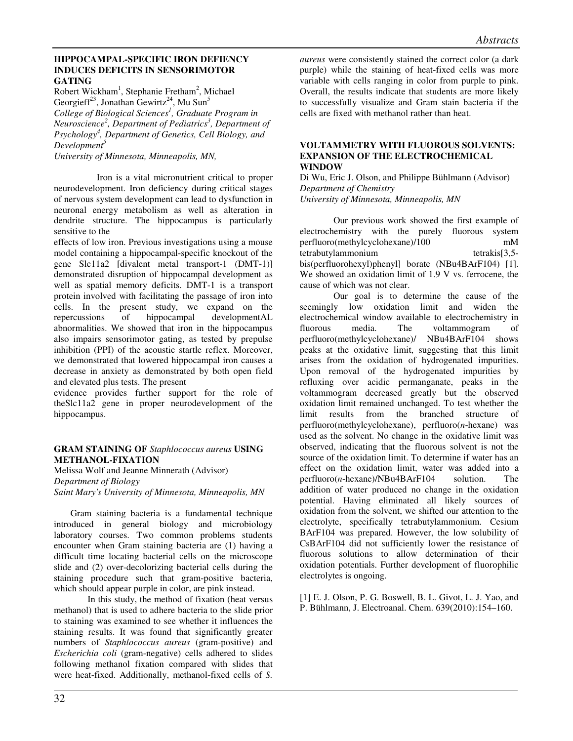# **HIPPOCAMPAL-SPECIFIC IRON DEFIENCY INDUCES DEFICITS IN SENSORIMOTOR GATING**

Robert Wickham<sup>1</sup>, Stephanie Fretham<sup>2</sup>, Michael Georgieff<sup>23</sup>, Jonathan Gewirtz<sup>24</sup>, Mu Sun<sup>5</sup> *College of Biological Sciences<sup>1</sup> , Graduate Program in Neuroscience<sup>2</sup> , Department of Pediatrics<sup>3</sup> , Department of Psychology<sup>4</sup> , Department of Genetics, Cell Biology, and Development<sup>5</sup>*

*University of Minnesota, Minneapolis, MN,* 

 Iron is a vital micronutrient critical to proper neurodevelopment. Iron deficiency during critical stages of nervous system development can lead to dysfunction in neuronal energy metabolism as well as alteration in dendrite structure. The hippocampus is particularly sensitive to the

effects of low iron. Previous investigations using a mouse model containing a hippocampal-specific knockout of the gene Slc11a2 [divalent metal transport-1 (DMT-1)] demonstrated disruption of hippocampal development as well as spatial memory deficits. DMT-1 is a transport protein involved with facilitating the passage of iron into cells. In the present study, we expand on the repercussions of hippocampal developmentAL abnormalities. We showed that iron in the hippocampus also impairs sensorimotor gating, as tested by prepulse inhibition (PPI) of the acoustic startle reflex. Moreover, we demonstrated that lowered hippocampal iron causes a decrease in anxiety as demonstrated by both open field and elevated plus tests. The present

evidence provides further support for the role of theSlc11a2 gene in proper neurodevelopment of the hippocampus.

# **GRAM STAINING OF** *Staphlococcus aureus* **USING METHANOL-FIXATION**

Melissa Wolf and Jeanne Minnerath (Advisor) *Department of Biology Saint Mary's University of Minnesota, Minneapolis, MN* 

Gram staining bacteria is a fundamental technique introduced in general biology and microbiology laboratory courses. Two common problems students encounter when Gram staining bacteria are (1) having a difficult time locating bacterial cells on the microscope slide and (2) over-decolorizing bacterial cells during the staining procedure such that gram-positive bacteria, which should appear purple in color, are pink instead.

In this study, the method of fixation (heat versus methanol) that is used to adhere bacteria to the slide prior to staining was examined to see whether it influences the staining results. It was found that significantly greater numbers of *Staphlococcus aureus* (gram-positive) and *Escherichia coli* (gram-negative) cells adhered to slides following methanol fixation compared with slides that were heat-fixed. Additionally, methanol-fixed cells of *S.*

*aureus* were consistently stained the correct color (a dark purple) while the staining of heat-fixed cells was more variable with cells ranging in color from purple to pink. Overall, the results indicate that students are more likely to successfully visualize and Gram stain bacteria if the cells are fixed with methanol rather than heat.

#### **VOLTAMMETRY WITH FLUOROUS SOLVENTS: EXPANSION OF THE ELECTROCHEMICAL WINDOW**

Di Wu, Eric J. Olson, and Philippe Bühlmann (Advisor) *Department of Chemistry University of Minnesota, Minneapolis, MN* 

Our previous work showed the first example of electrochemistry with the purely fluorous system perfluoro(methylcyclohexane)/100 mM tetrabutylammonium tetrakis[3,5 bis(perfluorohexyl)phenyl] borate (NBu4BArF104) [1]. We showed an oxidation limit of 1.9 V vs. ferrocene, the cause of which was not clear.

Our goal is to determine the cause of the seemingly low oxidation limit and widen the electrochemical window available to electrochemistry in fluorous media. The voltammogram of perfluoro(methylcyclohexane)/ NBu4BArF104 shows peaks at the oxidative limit, suggesting that this limit arises from the oxidation of hydrogenated impurities. Upon removal of the hydrogenated impurities by refluxing over acidic permanganate, peaks in the voltammogram decreased greatly but the observed oxidation limit remained unchanged. To test whether the limit results from the branched structure of perfluoro(methylcyclohexane), perfluoro(*n*-hexane) was used as the solvent. No change in the oxidative limit was observed, indicating that the fluorous solvent is not the source of the oxidation limit. To determine if water has an effect on the oxidation limit, water was added into a perfluoro(*n*-hexane)/NBu4BArF104 solution. The addition of water produced no change in the oxidation potential. Having eliminated all likely sources of oxidation from the solvent, we shifted our attention to the electrolyte, specifically tetrabutylammonium. Cesium BArF104 was prepared. However, the low solubility of CsBArF104 did not sufficiently lower the resistance of fluorous solutions to allow determination of their oxidation potentials. Further development of fluorophilic electrolytes is ongoing.

[1] E. J. Olson, P. G. Boswell, B. L. Givot, L. J. Yao, and P. Bühlmann, J. Electroanal. Chem. 639(2010):154–160.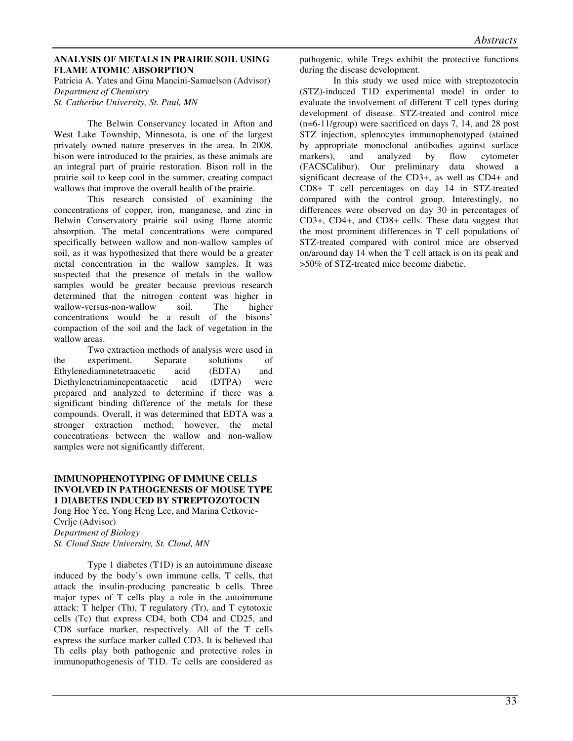# **ANALYSIS OF METALS IN PRAIRIE SOIL USING FLAME ATOMIC ABSORPTION**

Patricia A. Yates and Gina Mancini-Samuelson (Advisor) *Department of Chemistry St. Catherine University, St. Paul, MN*

 The Belwin Conservancy located in Afton and West Lake Township, Minnesota, is one of the largest privately owned nature preserves in the area. In 2008, bison were introduced to the prairies, as these animals are an integral part of prairie restoration. Bison roll in the prairie soil to keep cool in the summer, creating compact wallows that improve the overall health of the prairie.

This research consisted of examining the concentrations of copper, iron, manganese, and zinc in Belwin Conservatory prairie soil using flame atomic absorption. The metal concentrations were compared specifically between wallow and non-wallow samples of soil, as it was hypothesized that there would be a greater metal concentration in the wallow samples. It was suspected that the presence of metals in the wallow samples would be greater because previous research determined that the nitrogen content was higher in wallow-versus-non-wallow soil. The higher concentrations would be a result of the bisons' compaction of the soil and the lack of vegetation in the wallow areas.

Two extraction methods of analysis were used in the experiment. Separate solutions of Ethylenediaminetetraacetic acid (EDTA) and Diethylenetriaminepentaacetic acid (DTPA) were prepared and analyzed to determine if there was a significant binding difference of the metals for these compounds. Overall, it was determined that EDTA was a stronger extraction method; however, the metal concentrations between the wallow and non-wallow samples were not significantly different.

# **IMMUNOPHENOTYPING OF IMMUNE CELLS INVOLVED IN PATHOGENESIS OF MOUSE TYPE 1 DIABETES INDUCED BY STREPTOZOTOCIN**

Jong Hoe Yee, Yong Heng Lee, and Marina Cetkovic-Cvrlje (Advisor) *Department of Biology St. Cloud State University, St. Cloud, MN* 

Type 1 diabetes (T1D) is an autoimmune disease induced by the body's own immune cells, T cells, that attack the insulin-producing pancreatic b cells. Three major types of T cells play a role in the autoimmune attack: T helper (Th), T regulatory (Tr), and T cytotoxic cells (Tc) that express CD4, both CD4 and CD25, and CD8 surface marker, respectively. All of the T cells express the surface marker called CD3. It is believed that Th cells play both pathogenic and protective roles in immunopathogenesis of T1D. Tc cells are considered as pathogenic, while Tregs exhibit the protective functions during the disease development.

In this study we used mice with streptozotocin (STZ)-induced T1D experimental model in order to evaluate the involvement of different T cell types during development of disease. STZ-treated and control mice (n=6-11/group) were sacrificed on days 7, 14, and 28 post STZ injection, splenocytes immunophenotyped (stained by appropriate monoclonal antibodies against surface markers), and analyzed by flow cytometer (FACSCalibur). Our preliminary data showed a significant decrease of the CD3+, as well as CD4+ and CD8+ T cell percentages on day 14 in STZ-treated compared with the control group. Interestingly, no differences were observed on day 30 in percentages of CD3+, CD4+, and CD8+ cells. These data suggest that the most prominent differences in T cell populations of STZ-treated compared with control mice are observed on/around day 14 when the T cell attack is on its peak and >50% of STZ-treated mice become diabetic.